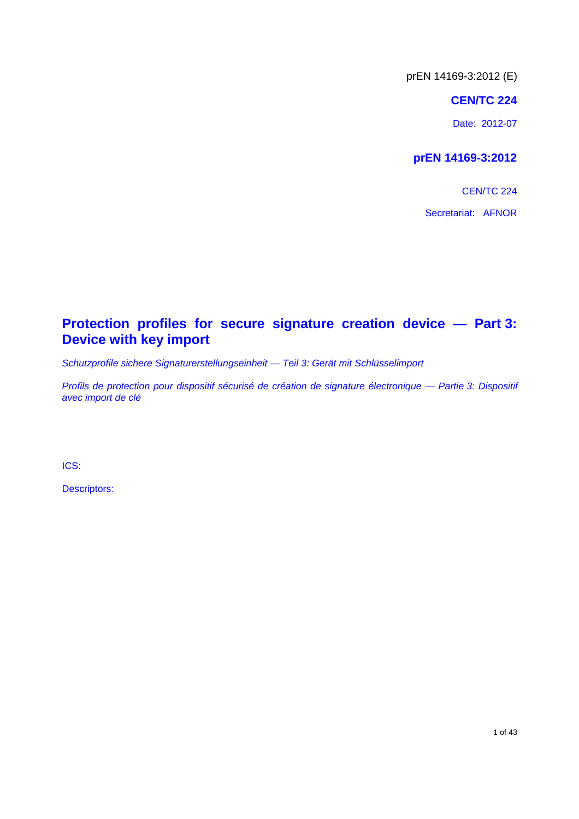#### **CEN/TC 224**

Date: 2012-07

### **prEN 14169-3:2012**

**CEN/TC 224** Secretariat: AFNOR

### **Protection profiles for secure signature creation device — Part 3: Device with key import**

*Schutzprofile sichere Signaturerstellungseinheit — Teil 3: Gerät mit Schlüsselimport* 

*Profils de protection pour dispositif sécurisé de création de signature électronique — Partie 3: Dispositif avec import de clé* 

ICS:

Descriptors: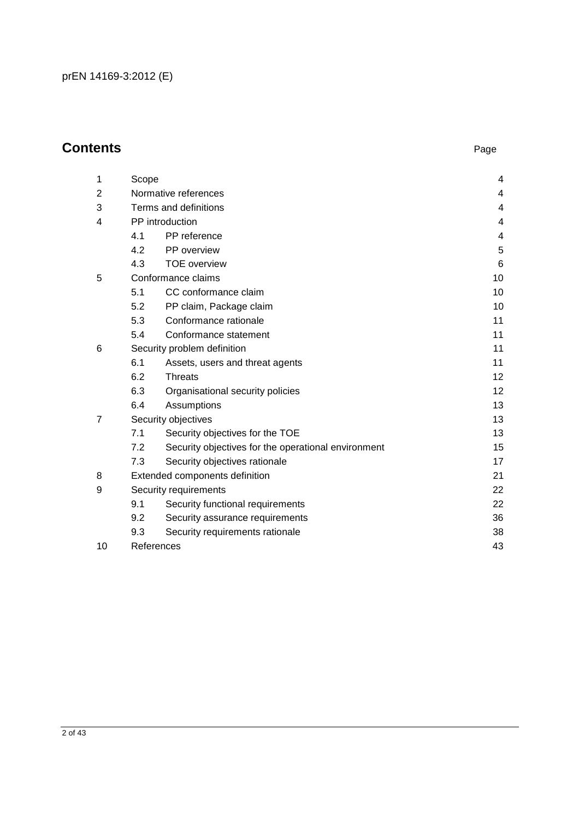### **Contents** Page

| 1              | Scope                 |                                                     | 4  |
|----------------|-----------------------|-----------------------------------------------------|----|
| 2              |                       | Normative references                                | 4  |
| 3              | Terms and definitions | 4                                                   |    |
| 4              |                       | PP introduction                                     | 4  |
|                | 4.1                   | PP reference                                        | 4  |
|                | 4.2                   | PP overview                                         | 5  |
|                | 4.3                   | <b>TOE</b> overview                                 | 6  |
| 5              |                       | Conformance claims                                  | 10 |
|                | 5.1                   | CC conformance claim                                | 10 |
|                | 5.2                   | PP claim, Package claim                             | 10 |
|                | 5.3                   | Conformance rationale                               | 11 |
|                | 5.4                   | Conformance statement                               | 11 |
| 6              |                       | Security problem definition                         | 11 |
|                | 6.1                   | Assets, users and threat agents                     | 11 |
|                | 6.2                   | <b>Threats</b>                                      | 12 |
|                | 6.3                   | Organisational security policies                    | 12 |
|                | 6.4                   | Assumptions                                         | 13 |
| $\overline{7}$ |                       | Security objectives                                 | 13 |
|                | 7.1                   | Security objectives for the TOE                     | 13 |
|                | 7.2                   | Security objectives for the operational environment | 15 |
|                | 7.3                   | Security objectives rationale                       | 17 |
| 8              |                       | Extended components definition                      | 21 |
| 9              |                       | Security requirements                               | 22 |
|                | 9.1                   | Security functional requirements                    | 22 |
|                | 9.2                   | Security assurance requirements                     | 36 |
|                | 9.3                   | Security requirements rationale                     | 38 |
| 10             |                       | References                                          | 43 |
|                |                       |                                                     |    |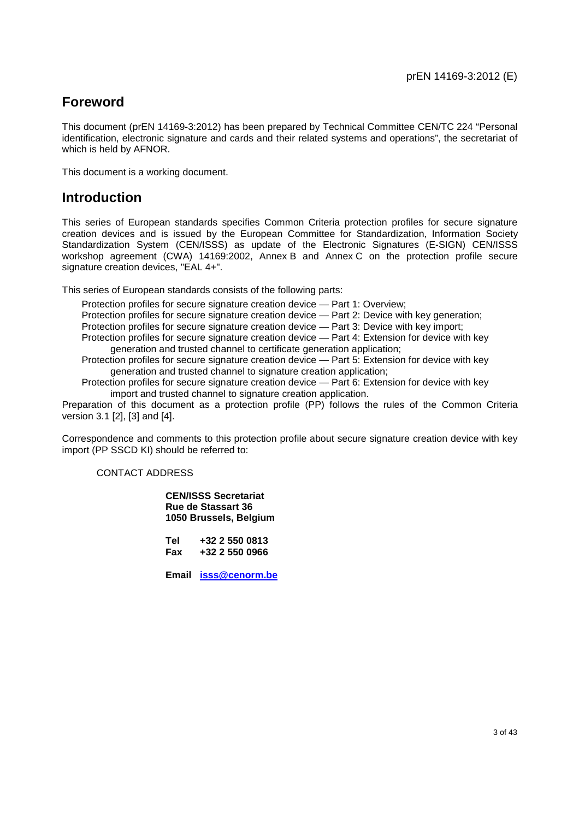### **Foreword**

This document (prEN 14169-3:2012) has been prepared by Technical Committee CEN/TC 224 "Personal identification, electronic signature and cards and their related systems and operations", the secretariat of which is held by AFNOR.

This document is a working document.

### **Introduction**

This series of European standards specifies Common Criteria protection profiles for secure signature creation devices and is issued by the European Committee for Standardization, Information Society Standardization System (CEN/ISSS) as update of the Electronic Signatures (E-SIGN) CEN/ISSS workshop agreement (CWA) 14169:2002, Annex B and Annex C on the protection profile secure signature creation devices, "EAL 4+".

This series of European standards consists of the following parts:

Protection profiles for secure signature creation device — Part 1: Overview;

Protection profiles for secure signature creation device — Part 2: Device with key generation;

Protection profiles for secure signature creation device — Part 3: Device with key import;

Protection profiles for secure signature creation device — Part 4: Extension for device with key generation and trusted channel to certificate generation application;

Protection profiles for secure signature creation device — Part 5: Extension for device with key generation and trusted channel to signature creation application;

Protection profiles for secure signature creation device — Part 6: Extension for device with key import and trusted channel to signature creation application.

Preparation of this document as a protection profile (PP) follows the rules of the Common Criteria version 3.1 [2], [3] and [4].

Correspondence and comments to this protection profile about secure signature creation device with key import (PP SSCD KI) should be referred to:

#### CONTACT ADDRESS

**CEN/ISSS Secretariat Rue de Stassart 36 1050 Brussels, Belgium** 

**Tel +32 2 550 0813 Fax +32 2 550 0966** 

**Email [isss@cenorm.be](mailto:isss@cenorm.be)**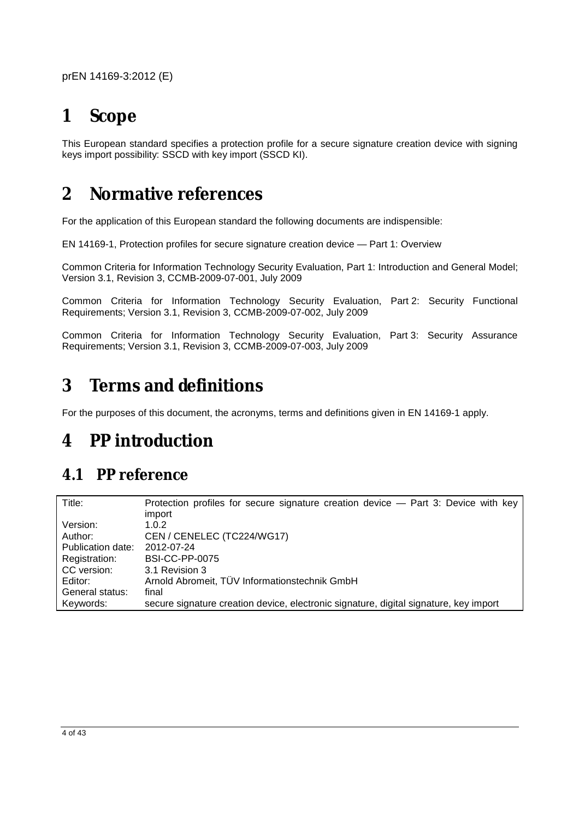# **1 Scope**

This European standard specifies a protection profile for a secure signature creation device with signing keys import possibility: SSCD with key import (SSCD KI).

# **2 Normative references**

For the application of this European standard the following documents are indispensible:

EN 14169-1, Protection profiles for secure signature creation device — Part 1: Overview

Common Criteria for Information Technology Security Evaluation, Part 1: Introduction and General Model; Version 3.1, Revision 3, CCMB-2009-07-001, July 2009

Common Criteria for Information Technology Security Evaluation, Part 2: Security Functional Requirements; Version 3.1, Revision 3, CCMB-2009-07-002, July 2009

Common Criteria for Information Technology Security Evaluation, Part 3: Security Assurance Requirements; Version 3.1, Revision 3, CCMB-2009-07-003, July 2009

# **3 Terms and definitions**

For the purposes of this document, the acronyms, terms and definitions given in EN 14169-1 apply.

# **4 PP introduction**

## **4.1 PP reference**

| Title:            | Protection profiles for secure signature creation device - Part 3: Device with key    |
|-------------------|---------------------------------------------------------------------------------------|
|                   | import                                                                                |
| Version:          | 1.0.2                                                                                 |
| Author:           | CEN / CENELEC (TC224/WG17)                                                            |
| Publication date: | 2012-07-24                                                                            |
| Registration:     | <b>BSI-CC-PP-0075</b>                                                                 |
| CC version:       | 3.1 Revision 3                                                                        |
| Editor:           | Arnold Abromeit, TÜV Informationstechnik GmbH                                         |
| General status:   | final                                                                                 |
| Keywords:         | secure signature creation device, electronic signature, digital signature, key import |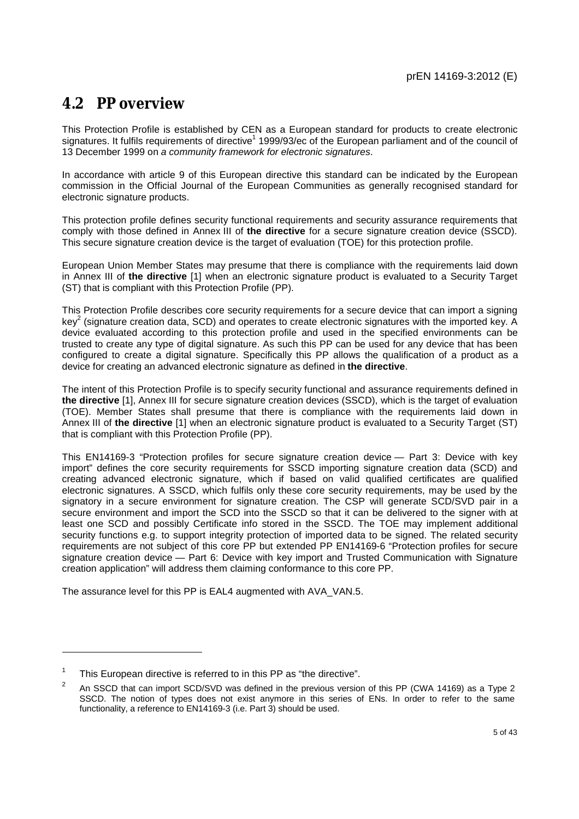### **4.2 PP overview**

This Protection Profile is established by CEN as a European standard for products to create electronic signatures. It fulfils requirements of directive<sup>1</sup> 1999/93/ec of the European parliament and of the council of 13 December 1999 on *a community framework for electronic signatures*.

In accordance with article 9 of this European directive this standard can be indicated by the European commission in the Official Journal of the European Communities as generally recognised standard for electronic signature products.

This protection profile defines security functional requirements and security assurance requirements that comply with those defined in Annex III of **the directive** for a secure signature creation device (SSCD). This secure signature creation device is the target of evaluation (TOE) for this protection profile.

European Union Member States may presume that there is compliance with the requirements laid down in Annex III of **the directive** [1] when an electronic signature product is evaluated to a Security Target (ST) that is compliant with this Protection Profile (PP).

This Protection Profile describes core security requirements for a secure device that can import a signing key<sup>2</sup> (signature creation data, SCD) and operates to create electronic signatures with the imported key. A device evaluated according to this protection profile and used in the specified environments can be trusted to create any type of digital signature. As such this PP can be used for any device that has been configured to create a digital signature. Specifically this PP allows the qualification of a product as a device for creating an advanced electronic signature as defined in **the directive**.

The intent of this Protection Profile is to specify security functional and assurance requirements defined in **the directive** [1], Annex III for secure signature creation devices (SSCD), which is the target of evaluation (TOE). Member States shall presume that there is compliance with the requirements laid down in Annex III of **the directive** [1] when an electronic signature product is evaluated to a Security Target (ST) that is compliant with this Protection Profile (PP).

This EN14169-3 "Protection profiles for secure signature creation device — Part 3: Device with key import" defines the core security requirements for SSCD importing signature creation data (SCD) and creating advanced electronic signature, which if based on valid qualified certificates are qualified electronic signatures. A SSCD, which fulfils only these core security requirements, may be used by the signatory in a secure environment for signature creation. The CSP will generate SCD/SVD pair in a secure environment and import the SCD into the SSCD so that it can be delivered to the signer with at least one SCD and possibly Certificate info stored in the SSCD. The TOE may implement additional security functions e.g. to support integrity protection of imported data to be signed. The related security requirements are not subject of this core PP but extended PP EN14169-6 "Protection profiles for secure signature creation device — Part 6: Device with key import and Trusted Communication with Signature creation application" will address them claiming conformance to this core PP.

The assurance level for this PP is EAL4 augmented with AVA\_VAN.5.

<sup>1</sup> This European directive is referred to in this PP as "the directive".

 $\overline{2}$  An SSCD that can import SCD/SVD was defined in the previous version of this PP (CWA 14169) as a Type 2 SSCD. The notion of types does not exist anymore in this series of ENs. In order to refer to the same functionality, a reference to EN14169-3 (i.e. Part 3) should be used.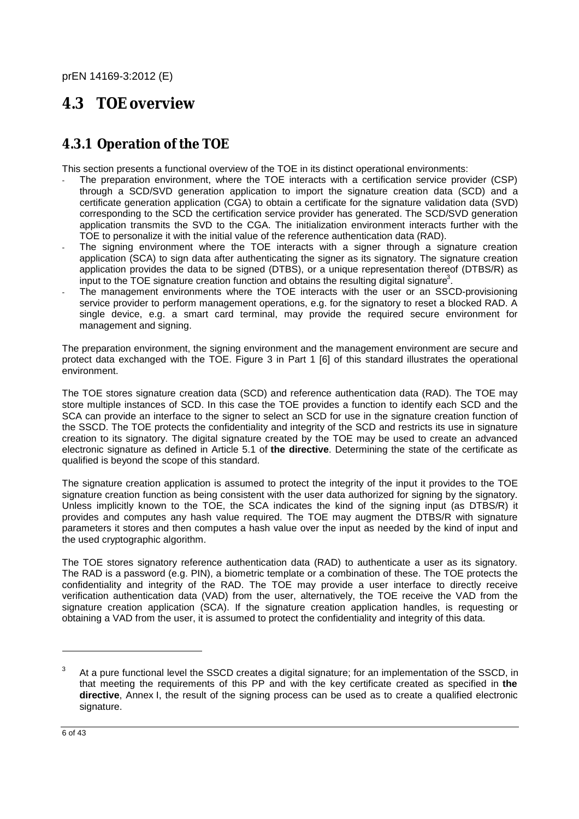### **4.3 TOE overview**

### **4.3.1 Operation of the TOE**

This section presents a functional overview of the TOE in its distinct operational environments:

- The preparation environment, where the TOE interacts with a certification service provider (CSP) through a SCD/SVD generation application to import the signature creation data (SCD) and a certificate generation application (CGA) to obtain a certificate for the signature validation data (SVD) corresponding to the SCD the certification service provider has generated. The SCD/SVD generation application transmits the SVD to the CGA. The initialization environment interacts further with the TOE to personalize it with the initial value of the reference authentication data (RAD).
- The signing environment where the TOE interacts with a signer through a signature creation application (SCA) to sign data after authenticating the signer as its signatory. The signature creation application provides the data to be signed (DTBS), or a unique representation thereof (DTBS/R) as  $\frac{1}{2}$  input to the TOE signature creation function and obtains the resulting digital signature<sup>3</sup>.
- The management environments where the TOE interacts with the user or an SSCD-provisioning service provider to perform management operations, e.g. for the signatory to reset a blocked RAD. A single device, e.g. a smart card terminal, may provide the required secure environment for management and signing.

The preparation environment, the signing environment and the management environment are secure and protect data exchanged with the TOE. Figure 3 in Part 1 [6] of this standard illustrates the operational environment.

The TOE stores signature creation data (SCD) and reference authentication data (RAD). The TOE may store multiple instances of SCD. In this case the TOE provides a function to identify each SCD and the SCA can provide an interface to the signer to select an SCD for use in the signature creation function of the SSCD. The TOE protects the confidentiality and integrity of the SCD and restricts its use in signature creation to its signatory. The digital signature created by the TOE may be used to create an advanced electronic signature as defined in Article 5.1 of **the directive**. Determining the state of the certificate as qualified is beyond the scope of this standard.

The signature creation application is assumed to protect the integrity of the input it provides to the TOE signature creation function as being consistent with the user data authorized for signing by the signatory. Unless implicitly known to the TOE, the SCA indicates the kind of the signing input (as DTBS/R) it provides and computes any hash value required. The TOE may augment the DTBS/R with signature parameters it stores and then computes a hash value over the input as needed by the kind of input and the used cryptographic algorithm.

The TOE stores signatory reference authentication data (RAD) to authenticate a user as its signatory. The RAD is a password (e.g. PIN), a biometric template or a combination of these. The TOE protects the confidentiality and integrity of the RAD. The TOE may provide a user interface to directly receive verification authentication data (VAD) from the user, alternatively, the TOE receive the VAD from the signature creation application (SCA). If the signature creation application handles, is requesting or obtaining a VAD from the user, it is assumed to protect the confidentiality and integrity of this data.

<sup>3</sup> At a pure functional level the SSCD creates a digital signature; for an implementation of the SSCD, in that meeting the requirements of this PP and with the key certificate created as specified in **the directive**, Annex I, the result of the signing process can be used as to create a qualified electronic signature.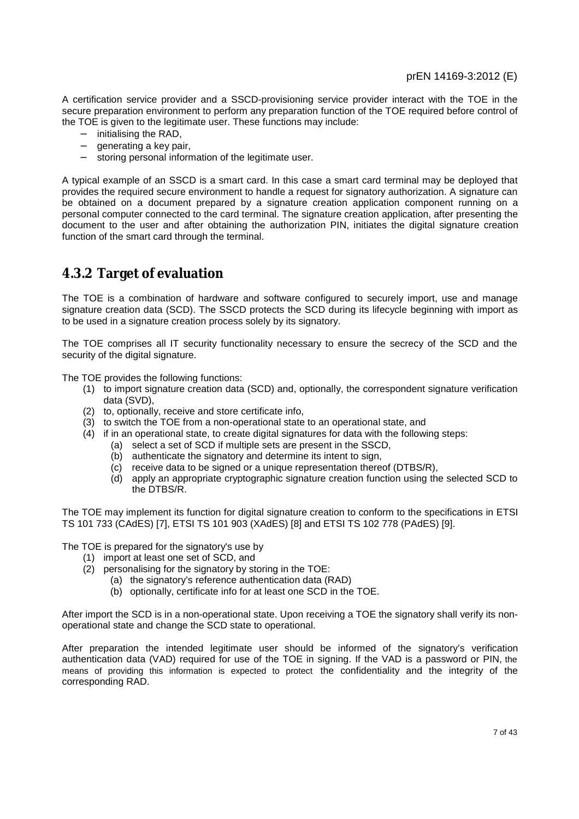A certification service provider and a SSCD-provisioning service provider interact with the TOE in the secure preparation environment to perform any preparation function of the TOE required before control of the TOE is given to the legitimate user. These functions may include:

- − initialising the RAD,
- − generating a key pair,
- storing personal information of the legitimate user.

A typical example of an SSCD is a smart card. In this case a smart card terminal may be deployed that provides the required secure environment to handle a request for signatory authorization. A signature can be obtained on a document prepared by a signature creation application component running on a personal computer connected to the card terminal. The signature creation application, after presenting the document to the user and after obtaining the authorization PIN, initiates the digital signature creation function of the smart card through the terminal.

### **4.3.2 Target of evaluation**

The TOE is a combination of hardware and software configured to securely import, use and manage signature creation data (SCD). The SSCD protects the SCD during its lifecycle beginning with import as to be used in a signature creation process solely by its signatory.

The TOE comprises all IT security functionality necessary to ensure the secrecy of the SCD and the security of the digital signature.

The TOE provides the following functions:

- (1) to import signature creation data (SCD) and, optionally, the correspondent signature verification data (SVD),
- (2) to, optionally, receive and store certificate info,
- (3) to switch the TOE from a non-operational state to an operational state, and
- (4) if in an operational state, to create digital signatures for data with the following steps:
	- (a) select a set of SCD if multiple sets are present in the SSCD,
	- (b) authenticate the signatory and determine its intent to sign,
	- (c) receive data to be signed or a unique representation thereof (DTBS/R),
	- (d) apply an appropriate cryptographic signature creation function using the selected SCD to the DTBS/R.

The TOE may implement its function for digital signature creation to conform to the specifications in ETSI TS 101 733 (CAdES) [7], ETSI TS 101 903 (XAdES) [8] and ETSI TS 102 778 (PAdES) [9].

The TOE is prepared for the signatory's use by

- (1) import at least one set of SCD, and
- (2) personalising for the signatory by storing in the TOE:
	- (a) the signatory's reference authentication data (RAD)
	- (b) optionally, certificate info for at least one SCD in the TOE.

After import the SCD is in a non-operational state. Upon receiving a TOE the signatory shall verify its nonoperational state and change the SCD state to operational.

After preparation the intended legitimate user should be informed of the signatory's verification authentication data (VAD) required for use of the TOE in signing. If the VAD is a password or PIN, the means of providing this information is expected to protect the confidentiality and the integrity of the corresponding RAD.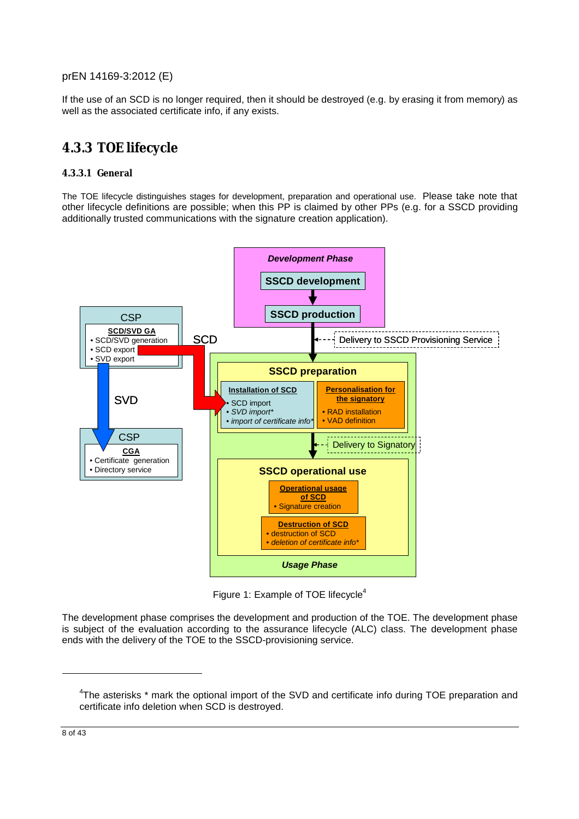If the use of an SCD is no longer required, then it should be destroyed (e.g. by erasing it from memory) as well as the associated certificate info, if any exists.

### **4.3.3 TOE lifecycle**

#### **4.3.3.1 General**

The TOE lifecycle distinguishes stages for development, preparation and operational use. Please take note that other lifecycle definitions are possible; when this PP is claimed by other PPs (e.g. for a SSCD providing additionally trusted communications with the signature creation application).



Figure 1: Example of TOE lifecycle<sup>4</sup>

The development phase comprises the development and production of the TOE. The development phase is subject of the evaluation according to the assurance lifecycle (ALC) class. The development phase ends with the delivery of the TOE to the SSCD-provisioning service.

<sup>&</sup>lt;sup>4</sup>The asterisks \* mark the optional import of the SVD and certificate info during TOE preparation and certificate info deletion when SCD is destroyed.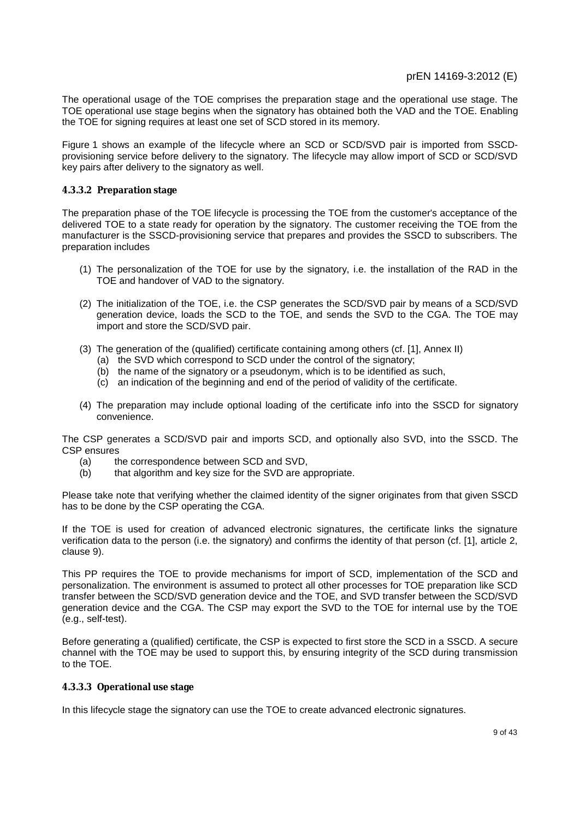The operational usage of the TOE comprises the preparation stage and the operational use stage. The TOE operational use stage begins when the signatory has obtained both the VAD and the TOE. Enabling the TOE for signing requires at least one set of SCD stored in its memory.

Figure 1 shows an example of the lifecycle where an SCD or SCD/SVD pair is imported from SSCDprovisioning service before delivery to the signatory. The lifecycle may allow import of SCD or SCD/SVD key pairs after delivery to the signatory as well.

#### **4.3.3.2 Preparation stage**

The preparation phase of the TOE lifecycle is processing the TOE from the customer's acceptance of the delivered TOE to a state ready for operation by the signatory. The customer receiving the TOE from the manufacturer is the SSCD-provisioning service that prepares and provides the SSCD to subscribers. The preparation includes

- (1) The personalization of the TOE for use by the signatory, i.e. the installation of the RAD in the TOE and handover of VAD to the signatory.
- (2) The initialization of the TOE, i.e. the CSP generates the SCD/SVD pair by means of a SCD/SVD generation device, loads the SCD to the TOE, and sends the SVD to the CGA. The TOE may import and store the SCD/SVD pair.
- (3) The generation of the (qualified) certificate containing among others (cf. [1], Annex II)
	- (a) the SVD which correspond to SCD under the control of the signatory;
	- (b) the name of the signatory or a pseudonym, which is to be identified as such,
	- (c) an indication of the beginning and end of the period of validity of the certificate.
- (4) The preparation may include optional loading of the certificate info into the SSCD for signatory convenience.

The CSP generates a SCD/SVD pair and imports SCD, and optionally also SVD, into the SSCD. The CSP ensures

- (a) the correspondence between SCD and SVD,
- (b) that algorithm and key size for the SVD are appropriate.

Please take note that verifying whether the claimed identity of the signer originates from that given SSCD has to be done by the CSP operating the CGA.

If the TOE is used for creation of advanced electronic signatures, the certificate links the signature verification data to the person (i.e. the signatory) and confirms the identity of that person (cf. [1], article 2, clause 9).

This PP requires the TOE to provide mechanisms for import of SCD, implementation of the SCD and personalization. The environment is assumed to protect all other processes for TOE preparation like SCD transfer between the SCD/SVD generation device and the TOE, and SVD transfer between the SCD/SVD generation device and the CGA. The CSP may export the SVD to the TOE for internal use by the TOE (e.g., self-test).

Before generating a (qualified) certificate, the CSP is expected to first store the SCD in a SSCD. A secure channel with the TOE may be used to support this, by ensuring integrity of the SCD during transmission to the TOE.

#### **4.3.3.3 Operational use stage**

In this lifecycle stage the signatory can use the TOE to create advanced electronic signatures.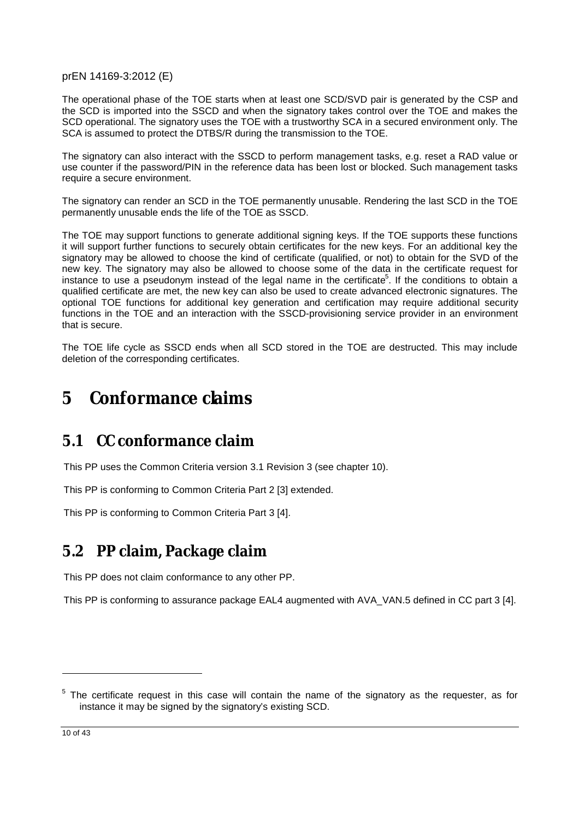The operational phase of the TOE starts when at least one SCD/SVD pair is generated by the CSP and the SCD is imported into the SSCD and when the signatory takes control over the TOE and makes the SCD operational. The signatory uses the TOE with a trustworthy SCA in a secured environment only. The SCA is assumed to protect the DTBS/R during the transmission to the TOE.

The signatory can also interact with the SSCD to perform management tasks, e.g. reset a RAD value or use counter if the password/PIN in the reference data has been lost or blocked. Such management tasks require a secure environment.

The signatory can render an SCD in the TOE permanently unusable. Rendering the last SCD in the TOE permanently unusable ends the life of the TOE as SSCD.

The TOE may support functions to generate additional signing keys. If the TOE supports these functions it will support further functions to securely obtain certificates for the new keys. For an additional key the signatory may be allowed to choose the kind of certificate (qualified, or not) to obtain for the SVD of the new key. The signatory may also be allowed to choose some of the data in the certificate request for instance to use a pseudonym instead of the legal name in the certificate<sup>5</sup>. If the conditions to obtain a qualified certificate are met, the new key can also be used to create advanced electronic signatures. The optional TOE functions for additional key generation and certification may require additional security functions in the TOE and an interaction with the SSCD-provisioning service provider in an environment that is secure.

The TOE life cycle as SSCD ends when all SCD stored in the TOE are destructed. This may include deletion of the corresponding certificates.

# **5 Conformance claims**

## **5.1 CC conformance claim**

This PP uses the Common Criteria version 3.1 Revision 3 (see chapter 10).

This PP is conforming to Common Criteria Part 2 [3] extended.

This PP is conforming to Common Criteria Part 3 [4].

## **5.2 PP claim, Package claim**

This PP does not claim conformance to any other PP.

This PP is conforming to assurance package EAL4 augmented with AVA\_VAN.5 defined in CC part 3 [4].

10 of 43

 $5$  The certificate request in this case will contain the name of the signatory as the requester, as for instance it may be signed by the signatory's existing SCD.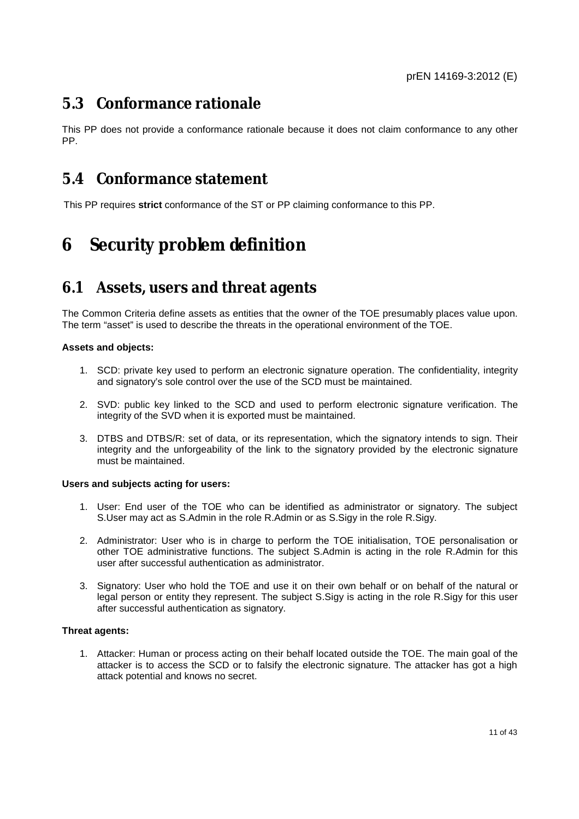### **5.3 Conformance rationale**

This PP does not provide a conformance rationale because it does not claim conformance to any other PP.

### **5.4 Conformance statement**

This PP requires **strict** conformance of the ST or PP claiming conformance to this PP.

# **6 Security problem definition**

### **6.1 Assets, users and threat agents**

The Common Criteria define assets as entities that the owner of the TOE presumably places value upon. The term "asset" is used to describe the threats in the operational environment of the TOE.

#### **Assets and objects:**

- 1. SCD: private key used to perform an electronic signature operation. The confidentiality, integrity and signatory's sole control over the use of the SCD must be maintained.
- 2. SVD: public key linked to the SCD and used to perform electronic signature verification. The integrity of the SVD when it is exported must be maintained.
- 3. DTBS and DTBS/R: set of data, or its representation, which the signatory intends to sign. Their integrity and the unforgeability of the link to the signatory provided by the electronic signature must be maintained.

#### **Users and subjects acting for users:**

- 1. User: End user of the TOE who can be identified as administrator or signatory. The subject S.User may act as S.Admin in the role R.Admin or as S.Sigy in the role R.Sigy.
- 2. Administrator: User who is in charge to perform the TOE initialisation, TOE personalisation or other TOE administrative functions. The subject S.Admin is acting in the role R.Admin for this user after successful authentication as administrator.
- 3. Signatory: User who hold the TOE and use it on their own behalf or on behalf of the natural or legal person or entity they represent. The subject S.Sigy is acting in the role R.Sigy for this user after successful authentication as signatory.

#### **Threat agents:**

1. Attacker: Human or process acting on their behalf located outside the TOE. The main goal of the attacker is to access the SCD or to falsify the electronic signature. The attacker has got a high attack potential and knows no secret.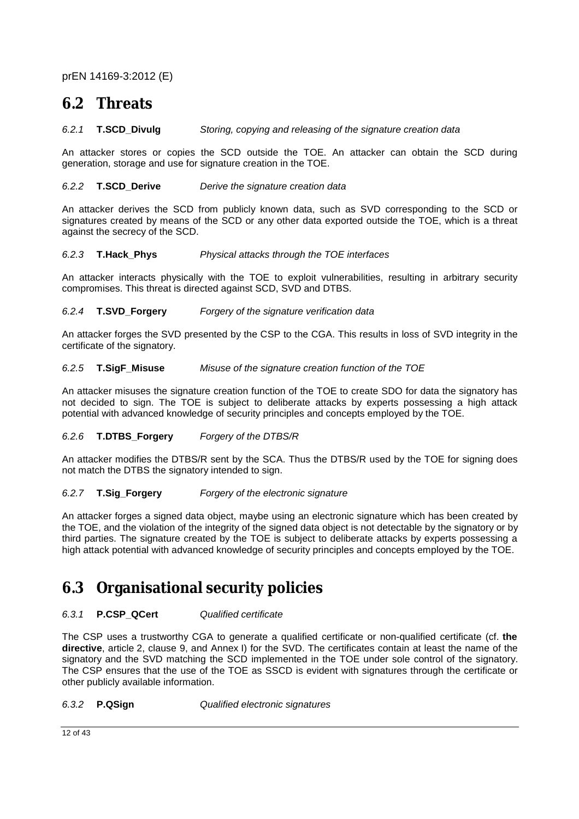### **6.2 Threats**

#### *6.2.1* **T.SCD\_Divulg** *Storing, copying and releasing of the signature creation data*

An attacker stores or copies the SCD outside the TOE. An attacker can obtain the SCD during generation, storage and use for signature creation in the TOE.

#### *6.2.2* **T.SCD\_Derive** *Derive the signature creation data*

An attacker derives the SCD from publicly known data, such as SVD corresponding to the SCD or signatures created by means of the SCD or any other data exported outside the TOE, which is a threat against the secrecy of the SCD.

#### *6.2.3* **T.Hack\_Phys** *Physical attacks through the TOE interfaces*

An attacker interacts physically with the TOE to exploit vulnerabilities, resulting in arbitrary security compromises. This threat is directed against SCD, SVD and DTBS.

#### *6.2.4* **T.SVD\_Forgery** *Forgery of the signature verification data*

An attacker forges the SVD presented by the CSP to the CGA. This results in loss of SVD integrity in the certificate of the signatory.

#### *6.2.5* **T.SigF\_Misuse** *Misuse of the signature creation function of the TOE*

An attacker misuses the signature creation function of the TOE to create SDO for data the signatory has not decided to sign. The TOE is subject to deliberate attacks by experts possessing a high attack potential with advanced knowledge of security principles and concepts employed by the TOE.

#### *6.2.6* **T.DTBS\_Forgery** *Forgery of the DTBS/R*

An attacker modifies the DTBS/R sent by the SCA. Thus the DTBS/R used by the TOE for signing does not match the DTBS the signatory intended to sign.

#### *6.2.7* **T.Sig\_Forgery** *Forgery of the electronic signature*

An attacker forges a signed data object, maybe using an electronic signature which has been created by the TOE, and the violation of the integrity of the signed data object is not detectable by the signatory or by third parties. The signature created by the TOE is subject to deliberate attacks by experts possessing a high attack potential with advanced knowledge of security principles and concepts employed by the TOE.

### **6.3 Organisational security policies**

#### *6.3.1* **P.CSP\_QCert** *Qualified certificate*

The CSP uses a trustworthy CGA to generate a qualified certificate or non-qualified certificate (cf. **the directive**, article 2, clause 9, and Annex I) for the SVD. The certificates contain at least the name of the signatory and the SVD matching the SCD implemented in the TOE under sole control of the signatory. The CSP ensures that the use of the TOE as SSCD is evident with signatures through the certificate or other publicly available information.

#### *6.3.2* **P.QSign** *Qualified electronic signatures*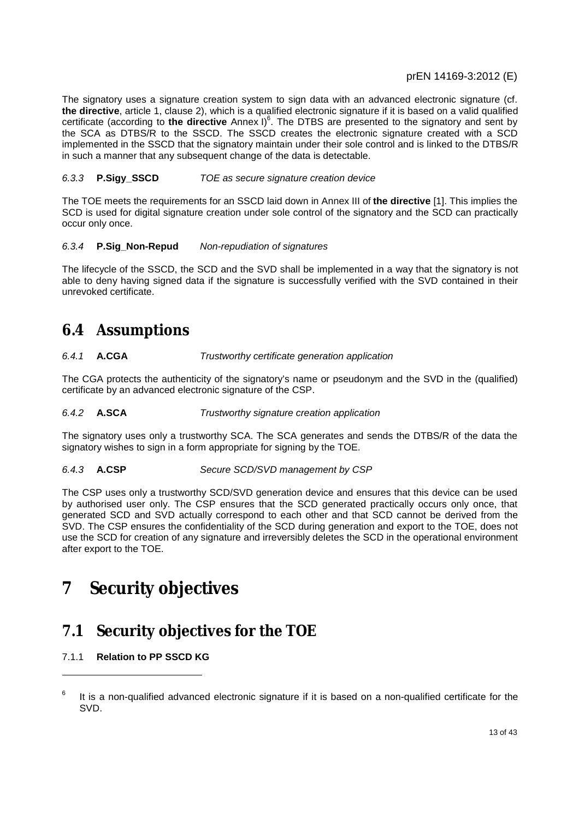The signatory uses a signature creation system to sign data with an advanced electronic signature (cf. **the directive**, article 1, clause 2), which is a qualified electronic signature if it is based on a valid qualified certificate (according to the directive Annex I)<sup>6</sup>. The DTBS are presented to the signatory and sent by the SCA as DTBS/R to the SSCD. The SSCD creates the electronic signature created with a SCD implemented in the SSCD that the signatory maintain under their sole control and is linked to the DTBS/R in such a manner that any subsequent change of the data is detectable.

#### *6.3.3* **P.Sigy\_SSCD** *TOE as secure signature creation device*

The TOE meets the requirements for an SSCD laid down in Annex III of **the directive** [1]. This implies the SCD is used for digital signature creation under sole control of the signatory and the SCD can practically occur only once.

#### *6.3.4* **P.Sig\_Non-Repud** *Non-repudiation of signatures*

The lifecycle of the SSCD, the SCD and the SVD shall be implemented in a way that the signatory is not able to deny having signed data if the signature is successfully verified with the SVD contained in their unrevoked certificate.

### **6.4 Assumptions**

#### *6.4.1* **A.CGA** *Trustworthy certificate generation application*

The CGA protects the authenticity of the signatory's name or pseudonym and the SVD in the (qualified) certificate by an advanced electronic signature of the CSP.

#### *6.4.2* **A.SCA** *Trustworthy signature creation application*

The signatory uses only a trustworthy SCA. The SCA generates and sends the DTBS/R of the data the signatory wishes to sign in a form appropriate for signing by the TOE.

#### *6.4.3* **A.CSP** *Secure SCD/SVD management by CSP*

The CSP uses only a trustworthy SCD/SVD generation device and ensures that this device can be used by authorised user only. The CSP ensures that the SCD generated practically occurs only once, that generated SCD and SVD actually correspond to each other and that SCD cannot be derived from the SVD. The CSP ensures the confidentiality of the SCD during generation and export to the TOE, does not use the SCD for creation of any signature and irreversibly deletes the SCD in the operational environment after export to the TOE.

# **7 Security objectives**

### **7.1 Security objectives for the TOE**

#### 7.1.1 **Relation to PP SSCD KG**

<sup>6</sup> It is a non-qualified advanced electronic signature if it is based on a non-qualified certificate for the SVD.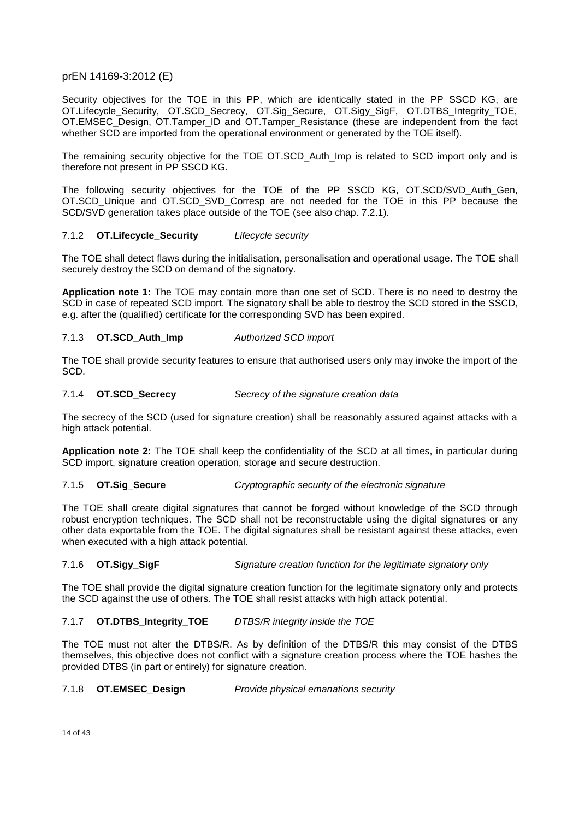Security objectives for the TOE in this PP, which are identically stated in the PP SSCD KG, are OT.Lifecycle\_Security, OT.SCD\_Secrecy, OT.Sig\_Secure, OT.Sigy\_SigF, OT.DTBS\_Integrity\_TOE, OT.EMSEC\_Design, OT.Tamper\_ID and OT.Tamper\_Resistance (these are independent from the fact whether SCD are imported from the operational environment or generated by the TOE itself).

The remaining security objective for the TOE OT.SCD\_Auth\_Imp is related to SCD import only and is therefore not present in PP SSCD KG.

The following security objectives for the TOE of the PP SSCD KG, OT.SCD/SVD\_Auth\_Gen, OT.SCD\_Unique and OT.SCD\_SVD\_Corresp are not needed for the TOE in this PP because the SCD/SVD generation takes place outside of the TOE (see also chap. 7.2.1).

#### 7.1.2 **OT.Lifecycle\_Security** *Lifecycle security*

The TOE shall detect flaws during the initialisation, personalisation and operational usage. The TOE shall securely destroy the SCD on demand of the signatory.

**Application note 1:** The TOE may contain more than one set of SCD. There is no need to destroy the SCD in case of repeated SCD import. The signatory shall be able to destroy the SCD stored in the SSCD, e.g. after the (qualified) certificate for the corresponding SVD has been expired.

#### 7.1.3 **OT.SCD\_Auth\_Imp** *Authorized SCD import*

The TOE shall provide security features to ensure that authorised users only may invoke the import of the SCD.

#### 7.1.4 **OT.SCD\_Secrecy** *Secrecy of the signature creation data*

The secrecy of the SCD (used for signature creation) shall be reasonably assured against attacks with a high attack potential.

**Application note 2:** The TOE shall keep the confidentiality of the SCD at all times, in particular during SCD import, signature creation operation, storage and secure destruction.

#### 7.1.5 **OT.Sig\_Secure** *Cryptographic security of the electronic signature*

The TOE shall create digital signatures that cannot be forged without knowledge of the SCD through robust encryption techniques. The SCD shall not be reconstructable using the digital signatures or any other data exportable from the TOE. The digital signatures shall be resistant against these attacks, even when executed with a high attack potential.

#### 7.1.6 **OT.Sigy\_SigF** *Signature creation function for the legitimate signatory only*

The TOE shall provide the digital signature creation function for the legitimate signatory only and protects the SCD against the use of others. The TOE shall resist attacks with high attack potential.

#### 7.1.7 **OT.DTBS\_Integrity\_TOE** *DTBS/R integrity inside the TOE*

The TOE must not alter the DTBS/R. As by definition of the DTBS/R this may consist of the DTBS themselves, this objective does not conflict with a signature creation process where the TOE hashes the provided DTBS (in part or entirely) for signature creation.

#### 7.1.8 **OT.EMSEC\_Design** *Provide physical emanations security*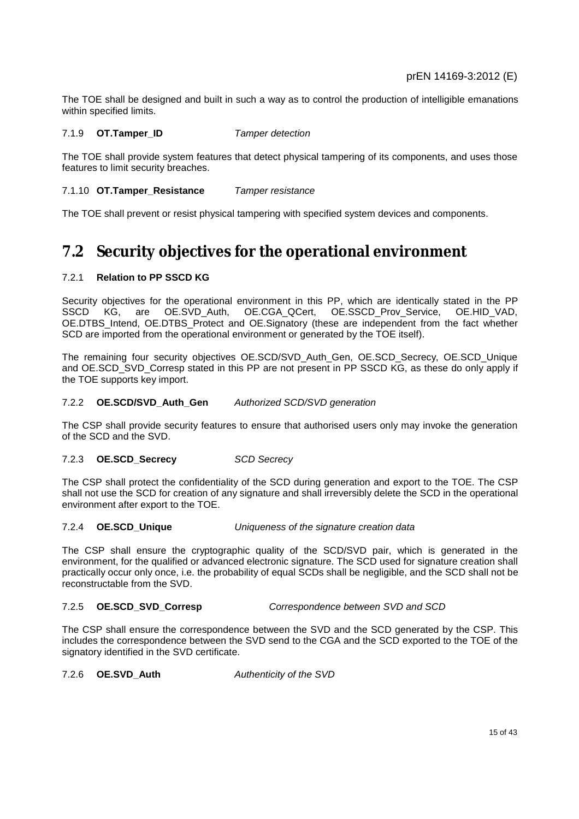The TOE shall be designed and built in such a way as to control the production of intelligible emanations within specified limits.

#### 7.1.9 **OT.Tamper\_ID** *Tamper detection*

The TOE shall provide system features that detect physical tampering of its components, and uses those features to limit security breaches.

#### 7.1.10 **OT.Tamper\_Resistance** *Tamper resistance*

The TOE shall prevent or resist physical tampering with specified system devices and components.

### **7.2 Security objectives for the operational environment**

#### 7.2.1 **Relation to PP SSCD KG**

Security objectives for the operational environment in this PP, which are identically stated in the PP SSCD KG, are OE.SVD\_Auth, OE.CGA\_QCert, OE.SSCD\_Prov\_Service, OE.HID\_VAD, OE.DTBS\_Intend, OE.DTBS\_Protect and OE.Signatory (these are independent from the fact whether SCD are imported from the operational environment or generated by the TOE itself).

The remaining four security objectives OE.SCD/SVD\_Auth\_Gen, OE.SCD\_Secrecy, OE.SCD\_Unique and OE.SCD\_SVD\_Corresp stated in this PP are not present in PP SSCD KG, as these do only apply if the TOE supports key import.

#### 7.2.2 **OE.SCD/SVD\_Auth\_Gen** *Authorized SCD/SVD generation*

The CSP shall provide security features to ensure that authorised users only may invoke the generation of the SCD and the SVD.

#### 7.2.3 **OE.SCD\_Secrecy** *SCD Secrecy*

The CSP shall protect the confidentiality of the SCD during generation and export to the TOE. The CSP shall not use the SCD for creation of any signature and shall irreversibly delete the SCD in the operational environment after export to the TOE.

#### 7.2.4 **OE.SCD\_Unique** *Uniqueness of the signature creation data*

The CSP shall ensure the cryptographic quality of the SCD/SVD pair, which is generated in the environment, for the qualified or advanced electronic signature. The SCD used for signature creation shall practically occur only once, i.e. the probability of equal SCDs shall be negligible, and the SCD shall not be reconstructable from the SVD.

#### 7.2.5 **OE.SCD\_SVD\_Corresp** *Correspondence between SVD and SCD*

The CSP shall ensure the correspondence between the SVD and the SCD generated by the CSP. This includes the correspondence between the SVD send to the CGA and the SCD exported to the TOE of the signatory identified in the SVD certificate.

7.2.6 **OE.SVD\_Auth** *Authenticity of the SVD*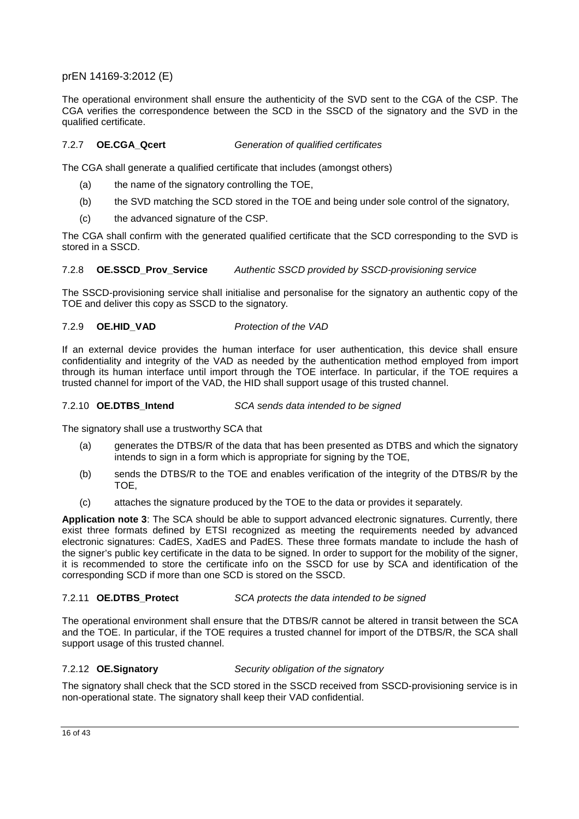The operational environment shall ensure the authenticity of the SVD sent to the CGA of the CSP. The CGA verifies the correspondence between the SCD in the SSCD of the signatory and the SVD in the qualified certificate.

#### 7.2.7 **OE.CGA\_Qcert** *Generation of qualified certificates*

The CGA shall generate a qualified certificate that includes (amongst others)

- (a) the name of the signatory controlling the TOE,
- (b) the SVD matching the SCD stored in the TOE and being under sole control of the signatory,
- (c) the advanced signature of the CSP.

The CGA shall confirm with the generated qualified certificate that the SCD corresponding to the SVD is stored in a SSCD.

#### 7.2.8 **OE.SSCD\_Prov\_Service** *Authentic SSCD provided by SSCD-provisioning service*

The SSCD-provisioning service shall initialise and personalise for the signatory an authentic copy of the TOE and deliver this copy as SSCD to the signatory.

#### 7.2.9 **OE.HID\_VAD** *Protection of the VAD*

If an external device provides the human interface for user authentication, this device shall ensure confidentiality and integrity of the VAD as needed by the authentication method employed from import through its human interface until import through the TOE interface. In particular, if the TOE requires a trusted channel for import of the VAD, the HID shall support usage of this trusted channel.

#### 7.2.10 **OE.DTBS\_Intend** *SCA sends data intended to be signed*

The signatory shall use a trustworthy SCA that

- (a) generates the DTBS/R of the data that has been presented as DTBS and which the signatory intends to sign in a form which is appropriate for signing by the TOE,
- (b) sends the DTBS/R to the TOE and enables verification of the integrity of the DTBS/R by the TOE,
- (c) attaches the signature produced by the TOE to the data or provides it separately.

**Application note 3**: The SCA should be able to support advanced electronic signatures. Currently, there exist three formats defined by ETSI recognized as meeting the requirements needed by advanced electronic signatures: CadES, XadES and PadES. These three formats mandate to include the hash of the signer's public key certificate in the data to be signed. In order to support for the mobility of the signer, it is recommended to store the certificate info on the SSCD for use by SCA and identification of the corresponding SCD if more than one SCD is stored on the SSCD.

#### 7.2.11 **OE.DTBS\_Protect** *SCA protects the data intended to be signed*

The operational environment shall ensure that the DTBS/R cannot be altered in transit between the SCA and the TOE. In particular, if the TOE requires a trusted channel for import of the DTBS/R, the SCA shall support usage of this trusted channel.

#### 7.2.12 **OE.Signatory** *Security obligation of the signatory*

The signatory shall check that the SCD stored in the SSCD received from SSCD-provisioning service is in non-operational state. The signatory shall keep their VAD confidential.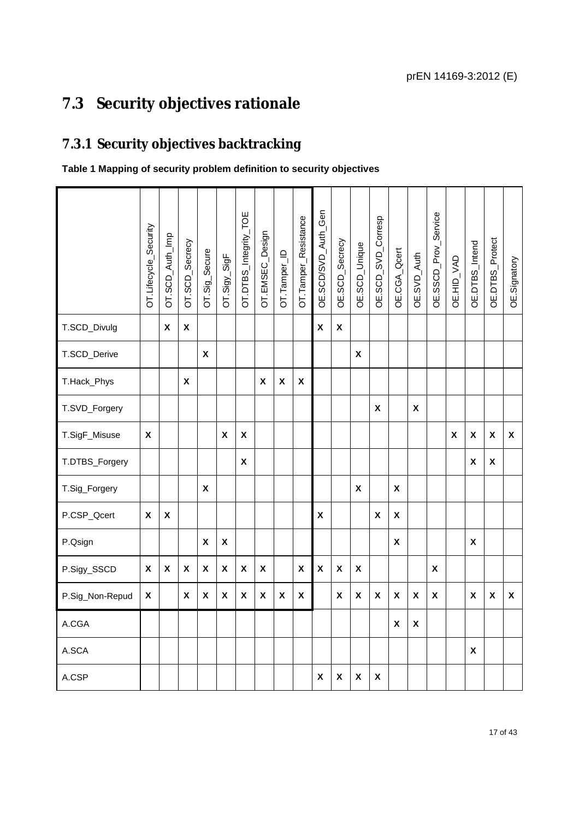# **7.3 Security objectives rationale**

# **7.3.1 Security objectives backtracking**

### **Table 1 Mapping of security problem definition to security objectives**

|                 | OT.Lifecycle_Security     | OT.SCD_Auth_Imp           | OT.SCD_Secrecy     | OT.Sig_Secure             | $OT.Sigy_SigF$     | OT.DTBS_Integrity_TOE     | OT.EMSEC_Design | OT.Tamper_ID | OT.Tamper_Resistance | OE.SCD/SVD_Auth_Gen | OE.SCD_Secrecy            | OE.SCD_Unique      | OE.SCD_SVD_Corresp | OE.CGA_Qcert              | OE.SVD_Auth  | OE.SSCD_Prov_Service | OE.HID_VAD         | OE.DTBS_Intend     | OE.DTBS_Protect           | OE.Signatory              |
|-----------------|---------------------------|---------------------------|--------------------|---------------------------|--------------------|---------------------------|-----------------|--------------|----------------------|---------------------|---------------------------|--------------------|--------------------|---------------------------|--------------|----------------------|--------------------|--------------------|---------------------------|---------------------------|
|                 |                           |                           |                    |                           |                    |                           |                 |              |                      |                     |                           |                    |                    |                           |              |                      |                    |                    |                           |                           |
| T.SCD_Divulg    |                           | $\boldsymbol{\mathsf{x}}$ | X                  |                           |                    |                           |                 |              |                      | X                   | $\boldsymbol{\mathsf{x}}$ |                    |                    |                           |              |                      |                    |                    |                           |                           |
| T.SCD_Derive    |                           |                           |                    | X                         |                    |                           |                 |              |                      |                     |                           | X                  |                    |                           |              |                      |                    |                    |                           |                           |
| T.Hack_Phys     |                           |                           | X                  |                           |                    |                           | X               | $\pmb{\chi}$ | $\pmb{\chi}$         |                     |                           |                    |                    |                           |              |                      |                    |                    |                           |                           |
| T.SVD_Forgery   |                           |                           |                    |                           |                    |                           |                 |              |                      |                     |                           |                    | X                  |                           | $\pmb{\chi}$ |                      |                    |                    |                           |                           |
| T.SigF_Misuse   | $\pmb{\chi}$              |                           |                    |                           | X                  | $\boldsymbol{\mathsf{x}}$ |                 |              |                      |                     |                           |                    |                    |                           |              |                      | $\pmb{\mathsf{X}}$ | $\pmb{\chi}$       | $\pmb{\mathsf{X}}$        | $\boldsymbol{\mathsf{X}}$ |
| T.DTBS_Forgery  |                           |                           |                    |                           |                    | $\boldsymbol{\mathsf{x}}$ |                 |              |                      |                     |                           |                    |                    |                           |              |                      |                    | $\pmb{\mathsf{X}}$ | $\boldsymbol{\mathsf{X}}$ |                           |
| T.Sig_Forgery   |                           |                           |                    | $\pmb{\chi}$              |                    |                           |                 |              |                      |                     |                           | $\pmb{\mathsf{X}}$ |                    | $\boldsymbol{\mathsf{X}}$ |              |                      |                    |                    |                           |                           |
| P.CSP_Qcert     | X                         | $\boldsymbol{\mathsf{x}}$ |                    |                           |                    |                           |                 |              |                      | X                   |                           |                    | $\mathsf{X}$       | $\mathsf{x}$              |              |                      |                    |                    |                           |                           |
| P.Qsign         |                           |                           |                    | X                         | $\pmb{\mathsf{X}}$ |                           |                 |              |                      |                     |                           |                    |                    | X                         |              |                      |                    | X                  |                           |                           |
| P.Sigy_SSCD     | $\boldsymbol{\mathsf{x}}$ | $\boldsymbol{\mathsf{x}}$ | $\pmb{\mathsf{X}}$ | $\boldsymbol{\mathsf{x}}$ | $\pmb{\mathsf{X}}$ | $\boldsymbol{\mathsf{x}}$ | $\pmb{\chi}$    |              | X                    | $\pmb{\mathsf{X}}$  | $\pmb{\mathsf{X}}$        | X                  |                    |                           |              | X                    |                    |                    |                           |                           |
| P.Sig_Non-Repud | X                         |                           | X                  | X                         | X                  | X                         | X               | X            | X                    |                     | X                         | X                  | X                  | X                         | $\pmb{\chi}$ | X                    |                    | X                  | $\pmb{\mathsf{X}}$        | X                         |
| A.CGA           |                           |                           |                    |                           |                    |                           |                 |              |                      |                     |                           |                    |                    | X                         | $\pmb{\chi}$ |                      |                    |                    |                           |                           |
| A.SCA           |                           |                           |                    |                           |                    |                           |                 |              |                      |                     |                           |                    |                    |                           |              |                      |                    | X                  |                           |                           |
| A.CSP           |                           |                           |                    |                           |                    |                           |                 |              |                      | χ                   | X                         | $\pmb{\mathsf{X}}$ | X                  |                           |              |                      |                    |                    |                           |                           |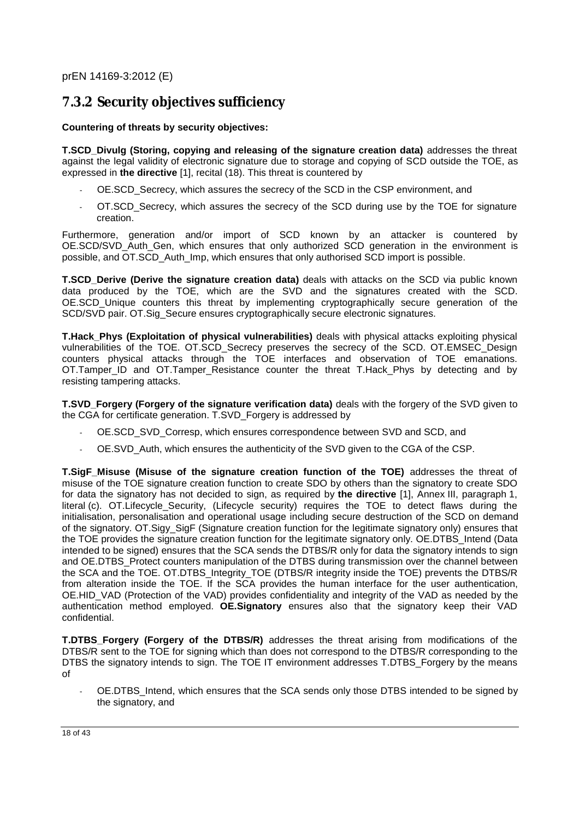### **7.3.2 Security objectives sufficiency**

#### **Countering of threats by security objectives:**

**T.SCD\_Divulg (Storing, copying and releasing of the signature creation data)** addresses the threat against the legal validity of electronic signature due to storage and copying of SCD outside the TOE, as expressed in **the directive** [1], recital (18). This threat is countered by

- OE.SCD\_Secrecy, which assures the secrecy of the SCD in the CSP environment, and
- OT.SCD\_Secrecy, which assures the secrecy of the SCD during use by the TOE for signature creation.

Furthermore, generation and/or import of SCD known by an attacker is countered by OE.SCD/SVD\_Auth\_Gen, which ensures that only authorized SCD generation in the environment is possible, and OT.SCD\_Auth\_Imp, which ensures that only authorised SCD import is possible.

**T.SCD\_Derive (Derive the signature creation data)** deals with attacks on the SCD via public known data produced by the TOE, which are the SVD and the signatures created with the SCD. OE.SCD Unique counters this threat by implementing cryptographically secure generation of the SCD/SVD pair. OT.Sig\_Secure ensures cryptographically secure electronic signatures.

**T.Hack\_Phys (Exploitation of physical vulnerabilities)** deals with physical attacks exploiting physical vulnerabilities of the TOE. OT.SCD Secrecy preserves the secrecy of the SCD. OT.EMSEC Design counters physical attacks through the TOE interfaces and observation of TOE emanations. OT.Tamper\_ID and OT.Tamper\_Resistance counter the threat T.Hack\_Phys by detecting and by resisting tampering attacks.

**T.SVD\_Forgery (Forgery of the signature verification data)** deals with the forgery of the SVD given to the CGA for certificate generation. T.SVD\_Forgery is addressed by

- OE.SCD\_SVD\_Corresp, which ensures correspondence between SVD and SCD, and
- OE.SVD\_Auth, which ensures the authenticity of the SVD given to the CGA of the CSP.

**T.SigF\_Misuse (Misuse of the signature creation function of the TOE)** addresses the threat of misuse of the TOE signature creation function to create SDO by others than the signatory to create SDO for data the signatory has not decided to sign, as required by **the directive** [1], Annex III, paragraph 1, literal (c). OT.Lifecycle\_Security, (Lifecycle security) requires the TOE to detect flaws during the initialisation, personalisation and operational usage including secure destruction of the SCD on demand of the signatory. OT.Sigy\_SigF (Signature creation function for the legitimate signatory only) ensures that the TOE provides the signature creation function for the legitimate signatory only. OE.DTBS\_Intend (Data intended to be signed) ensures that the SCA sends the DTBS/R only for data the signatory intends to sign and OE.DTBS\_Protect counters manipulation of the DTBS during transmission over the channel between the SCA and the TOE. OT.DTBS\_Integrity\_TOE (DTBS/R integrity inside the TOE) prevents the DTBS/R from alteration inside the TOE. If the SCA provides the human interface for the user authentication, OE.HID\_VAD (Protection of the VAD) provides confidentiality and integrity of the VAD as needed by the authentication method employed. **OE.Signatory** ensures also that the signatory keep their VAD confidential.

**T.DTBS\_Forgery (Forgery of the DTBS/R)** addresses the threat arising from modifications of the DTBS/R sent to the TOE for signing which than does not correspond to the DTBS/R corresponding to the DTBS the signatory intends to sign. The TOE IT environment addresses T.DTBS Forgery by the means of

OE.DTBS Intend, which ensures that the SCA sends only those DTBS intended to be signed by the signatory, and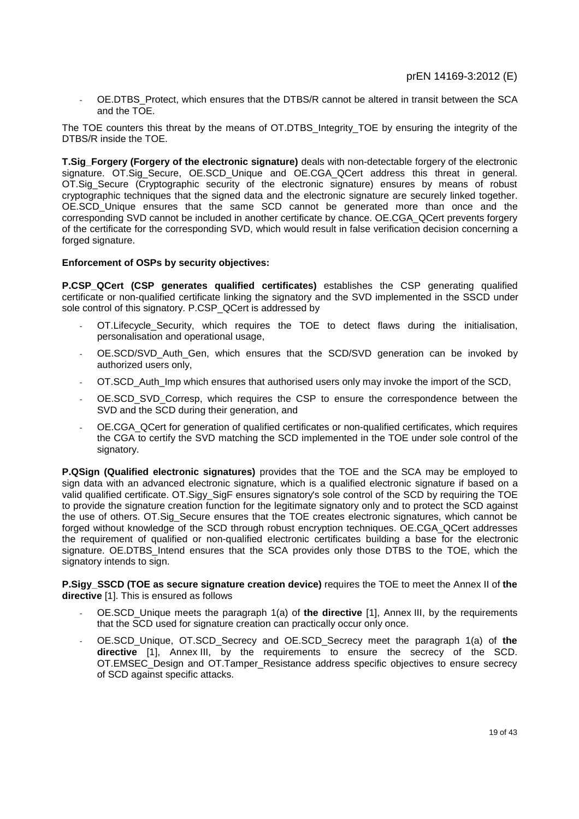OE.DTBS\_Protect, which ensures that the DTBS/R cannot be altered in transit between the SCA and the TOE.

The TOE counters this threat by the means of OT.DTBS Integrity TOE by ensuring the integrity of the DTBS/R inside the TOE.

**T.Sig\_Forgery (Forgery of the electronic signature)** deals with non-detectable forgery of the electronic signature. OT.Sig\_Secure, OE.SCD\_Unique and OE.CGA\_QCert address this threat in general. OT.Sig\_Secure (Cryptographic security of the electronic signature) ensures by means of robust cryptographic techniques that the signed data and the electronic signature are securely linked together. OE.SCD\_Unique ensures that the same SCD cannot be generated more than once and the corresponding SVD cannot be included in another certificate by chance. OE.CGA\_QCert prevents forgery of the certificate for the corresponding SVD, which would result in false verification decision concerning a forged signature.

#### **Enforcement of OSPs by security objectives:**

**P.CSP\_QCert (CSP generates qualified certificates)** establishes the CSP generating qualified certificate or non-qualified certificate linking the signatory and the SVD implemented in the SSCD under sole control of this signatory. P.CSP\_QCert is addressed by

- OT.Lifecycle Security, which requires the TOE to detect flaws during the initialisation, personalisation and operational usage,
- OE.SCD/SVD Auth Gen, which ensures that the SCD/SVD generation can be invoked by authorized users only,
- OT.SCD Auth Imp which ensures that authorised users only may invoke the import of the SCD,
- OE.SCD\_SVD\_Corresp, which requires the CSP to ensure the correspondence between the SVD and the SCD during their generation, and
- OE.CGA\_QCert for generation of qualified certificates or non-qualified certificates, which requires the CGA to certify the SVD matching the SCD implemented in the TOE under sole control of the signatory.

**P.QSign (Qualified electronic signatures)** provides that the TOE and the SCA may be employed to sign data with an advanced electronic signature, which is a qualified electronic signature if based on a valid qualified certificate. OT.Sigy\_SigF ensures signatory's sole control of the SCD by requiring the TOE to provide the signature creation function for the legitimate signatory only and to protect the SCD against the use of others. OT.Sig Secure ensures that the TOE creates electronic signatures, which cannot be forged without knowledge of the SCD through robust encryption techniques. OE.CGA\_QCert addresses the requirement of qualified or non-qualified electronic certificates building a base for the electronic signature. OE.DTBS Intend ensures that the SCA provides only those DTBS to the TOE, which the signatory intends to sign.

**P.Sigy\_SSCD (TOE as secure signature creation device)** requires the TOE to meet the Annex II of **the directive** [1]. This is ensured as follows

- OE.SCD\_Unique meets the paragraph 1(a) of **the directive** [1], Annex III, by the requirements that the SCD used for signature creation can practically occur only once.
- OE.SCD\_Unique, OT.SCD\_Secrecy and OE.SCD\_Secrecy meet the paragraph 1(a) of **the directive** [1], Annex III, by the requirements to ensure the secrecy of the SCD. OT.EMSEC\_Design and OT.Tamper\_Resistance address specific objectives to ensure secrecy of SCD against specific attacks.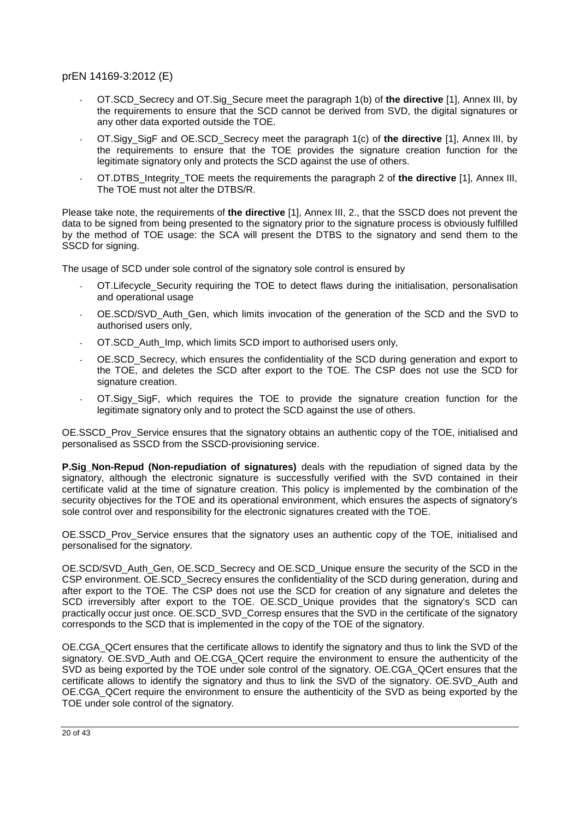- OT.SCD\_Secrecy and OT.Sig\_Secure meet the paragraph 1(b) of **the directive** [1], Annex III, by the requirements to ensure that the SCD cannot be derived from SVD, the digital signatures or any other data exported outside the TOE.
- OT.Sigy\_SigF and OE.SCD\_Secrecy meet the paragraph 1(c) of **the directive** [1], Annex III, by the requirements to ensure that the TOE provides the signature creation function for the legitimate signatory only and protects the SCD against the use of others.
- OT.DTBS\_Integrity\_TOE meets the requirements the paragraph 2 of **the directive** [1], Annex III, The TOE must not alter the DTBS/R.

Please take note, the requirements of **the directive** [1], Annex III, 2., that the SSCD does not prevent the data to be signed from being presented to the signatory prior to the signature process is obviously fulfilled by the method of TOE usage: the SCA will present the DTBS to the signatory and send them to the SSCD for signing.

The usage of SCD under sole control of the signatory sole control is ensured by

- OT. Lifecycle Security requiring the TOE to detect flaws during the initialisation, personalisation and operational usage
- OE.SCD/SVD Auth Gen, which limits invocation of the generation of the SCD and the SVD to authorised users only,
- OT.SCD Auth Imp, which limits SCD import to authorised users only,
- OE.SCD Secrecy, which ensures the confidentiality of the SCD during generation and export to the TOE, and deletes the SCD after export to the TOE. The CSP does not use the SCD for signature creation.
- OT.Sigy\_SigF, which requires the TOE to provide the signature creation function for the legitimate signatory only and to protect the SCD against the use of others.

OE.SSCD Prov Service ensures that the signatory obtains an authentic copy of the TOE, initialised and personalised as SSCD from the SSCD-provisioning service.

**P.Sig\_Non-Repud (Non-repudiation of signatures)** deals with the repudiation of signed data by the signatory, although the electronic signature is successfully verified with the SVD contained in their certificate valid at the time of signature creation. This policy is implemented by the combination of the security objectives for the TOE and its operational environment, which ensures the aspects of signatory's sole control over and responsibility for the electronic signatures created with the TOE.

OE.SSCD Prov Service ensures that the signatory uses an authentic copy of the TOE, initialised and personalised for the signator*y*.

OE.SCD/SVD\_Auth\_Gen, OE.SCD\_Secrecy and OE.SCD\_Unique ensure the security of the SCD in the CSP environment. OE.SCD\_Secrecy ensures the confidentiality of the SCD during generation, during and after export to the TOE. The CSP does not use the SCD for creation of any signature and deletes the SCD irreversibly after export to the TOE. OE.SCD\_Unique provides that the signatory's SCD can practically occur just once. OE.SCD\_SVD\_Corresp ensures that the SVD in the certificate of the signatory corresponds to the SCD that is implemented in the copy of the TOE of the signatory.

OE.CGA\_QCert ensures that the certificate allows to identify the signatory and thus to link the SVD of the signatory. OE.SVD Auth and OE.CGA\_QCert require the environment to ensure the authenticity of the SVD as being exported by the TOE under sole control of the signatory. OE.CGA\_QCert ensures that the certificate allows to identify the signatory and thus to link the SVD of the signatory. OE.SVD\_Auth and OE.CGA\_QCert require the environment to ensure the authenticity of the SVD as being exported by the TOE under sole control of the signatory.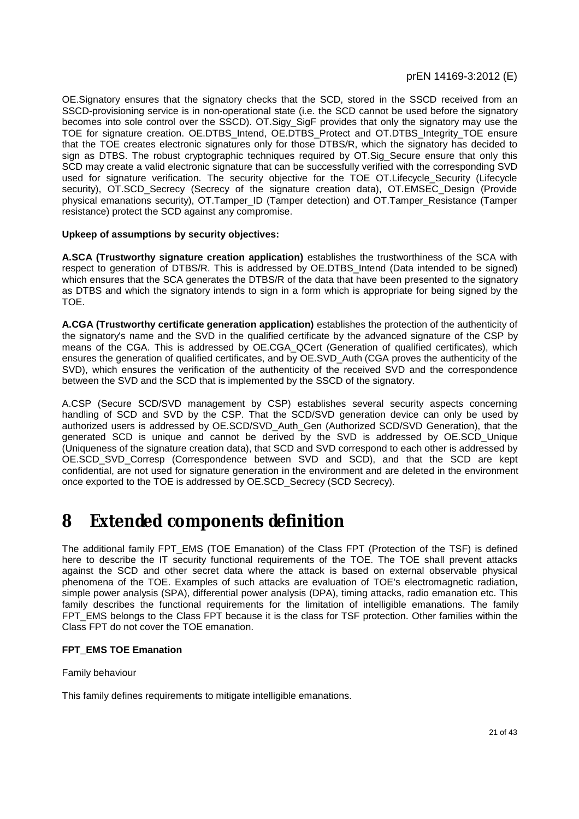OE.Signatory ensures that the signatory checks that the SCD, stored in the SSCD received from an SSCD-provisioning service is in non-operational state (i.e. the SCD cannot be used before the signatory becomes into sole control over the SSCD). OT.Sigy\_SigF provides that only the signatory may use the TOE for signature creation. OE.DTBS\_Intend, OE.DTBS\_Protect and OT.DTBS\_Integrity\_TOE ensure that the TOE creates electronic signatures only for those DTBS/R, which the signatory has decided to sign as DTBS. The robust cryptographic techniques required by OT. Sig Secure ensure that only this SCD may create a valid electronic signature that can be successfully verified with the corresponding SVD used for signature verification. The security objective for the TOE OT.Lifecycle Security (Lifecycle security), OT.SCD\_Secrecy (Secrecy of the signature creation data), OT.EMSEC\_Design (Provide physical emanations security), OT.Tamper ID (Tamper detection) and OT.Tamper Resistance (Tamper resistance) protect the SCD against any compromise.

#### **Upkeep of assumptions by security objectives:**

**A.SCA (Trustworthy signature creation application)** establishes the trustworthiness of the SCA with respect to generation of DTBS/R. This is addressed by OE.DTBS\_Intend (Data intended to be signed) which ensures that the SCA generates the DTBS/R of the data that have been presented to the signatory as DTBS and which the signatory intends to sign in a form which is appropriate for being signed by the TOE.

**A.CGA (Trustworthy certificate generation application)** establishes the protection of the authenticity of the signatory's name and the SVD in the qualified certificate by the advanced signature of the CSP by means of the CGA. This is addressed by OE.CGA\_QCert (Generation of qualified certificates), which ensures the generation of qualified certificates, and by OE.SVD\_Auth (CGA proves the authenticity of the SVD), which ensures the verification of the authenticity of the received SVD and the correspondence between the SVD and the SCD that is implemented by the SSCD of the signatory.

A.CSP (Secure SCD/SVD management by CSP) establishes several security aspects concerning handling of SCD and SVD by the CSP. That the SCD/SVD generation device can only be used by authorized users is addressed by OE.SCD/SVD\_Auth\_Gen (Authorized SCD/SVD Generation), that the generated SCD is unique and cannot be derived by the SVD is addressed by OE.SCD\_Unique (Uniqueness of the signature creation data), that SCD and SVD correspond to each other is addressed by OE.SCD\_SVD\_Corresp (Correspondence between SVD and SCD), and that the SCD are kept confidential, are not used for signature generation in the environment and are deleted in the environment once exported to the TOE is addressed by OE.SCD\_Secrecy (SCD Secrecy).

# **8 Extended components definition**

The additional family FPT\_EMS (TOE Emanation) of the Class FPT (Protection of the TSF) is defined here to describe the IT security functional requirements of the TOE. The TOE shall prevent attacks against the SCD and other secret data where the attack is based on external observable physical phenomena of the TOE. Examples of such attacks are evaluation of TOE's electromagnetic radiation, simple power analysis (SPA), differential power analysis (DPA), timing attacks, radio emanation etc. This family describes the functional requirements for the limitation of intelligible emanations. The family FPT EMS belongs to the Class FPT because it is the class for TSF protection. Other families within the Class FPT do not cover the TOE emanation.

#### **FPT\_EMS TOE Emanation**

#### Family behaviour

This family defines requirements to mitigate intelligible emanations.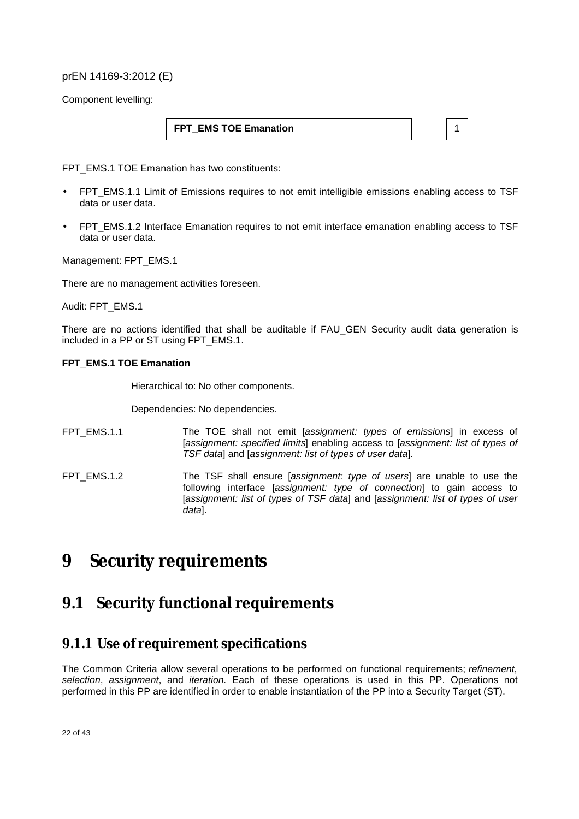Component levelling:

| <b>FPT EMS TOE Emanation</b> |  |
|------------------------------|--|
|------------------------------|--|

FPT\_EMS.1 TOE Emanation has two constituents:

- FPT\_EMS.1.1 Limit of Emissions requires to not emit intelligible emissions enabling access to TSF data or user data.
- FPT EMS.1.2 Interface Emanation requires to not emit interface emanation enabling access to TSF data or user data.

Management: FPT\_EMS.1

There are no management activities foreseen.

Audit: FPT\_EMS.1

There are no actions identified that shall be auditable if FAU\_GEN Security audit data generation is included in a PP or ST using FPT\_EMS.1.

#### **FPT\_EMS.1 TOE Emanation**

Hierarchical to: No other components.

Dependencies: No dependencies.

- FPT\_EMS.1.1 The TOE shall not emit [*assignment: types of emissions*] in excess of [*assignment: specified limits*] enabling access to [*assignment: list of types of TSF data*] and [*assignment: list of types of user data*].
- FPT\_EMS.1.2 The TSF shall ensure [*assignment: type of users*] are unable to use the following interface [*assignment: type of connection*] to gain access to [*assignment: list of types of TSF data*] and [*assignment: list of types of user data*].

# **9 Security requirements**

### **9.1 Security functional requirements**

### **9.1.1 Use of requirement specifications**

The Common Criteria allow several operations to be performed on functional requirements; *refinement*, *selection*, *assignment*, and *iteration.* Each of these operations is used in this PP. Operations not performed in this PP are identified in order to enable instantiation of the PP into a Security Target (ST).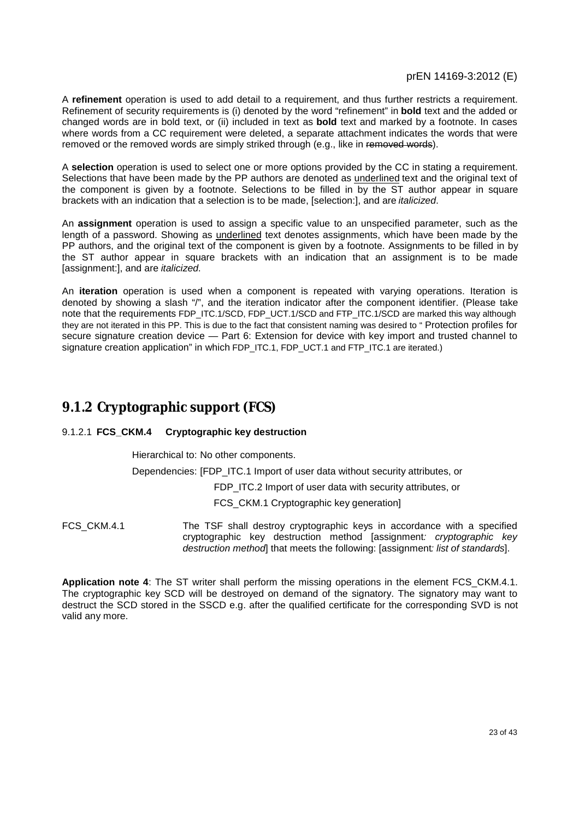A **refinement** operation is used to add detail to a requirement, and thus further restricts a requirement. Refinement of security requirements is (i) denoted by the word "refinement" in **bold** text and the added or changed words are in bold text, or (ii) included in text as **bold** text and marked by a footnote. In cases where words from a CC requirement were deleted, a separate attachment indicates the words that were removed or the removed words are simply striked through (e.g., like in removed words).

A **selection** operation is used to select one or more options provided by the CC in stating a requirement. Selections that have been made by the PP authors are denoted as underlined text and the original text of the component is given by a footnote. Selections to be filled in by the ST author appear in square brackets with an indication that a selection is to be made, [selection:], and are *italicized*.

An **assignment** operation is used to assign a specific value to an unspecified parameter, such as the length of a password. Showing as underlined text denotes assignments, which have been made by the PP authors, and the original text of the component is given by a footnote. Assignments to be filled in by the ST author appear in square brackets with an indication that an assignment is to be made [assignment:], and are *italicized*.

An **iteration** operation is used when a component is repeated with varying operations. Iteration is denoted by showing a slash "/", and the iteration indicator after the component identifier. (Please take note that the requirements FDP\_ITC.1/SCD, FDP\_UCT.1/SCD and FTP\_ITC.1/SCD are marked this way although they are not iterated in this PP. This is due to the fact that consistent naming was desired to " Protection profiles for secure signature creation device — Part 6: Extension for device with key import and trusted channel to signature creation application" in which FDP\_ITC.1, FDP\_UCT.1 and FTP\_ITC.1 are iterated.)

### **9.1.2 Cryptographic support (FCS)**

#### 9.1.2.1 **FCS\_CKM.4 Cryptographic key destruction**

Hierarchical to: No other components.

Dependencies: [FDP\_ITC.1 Import of user data without security attributes, or

FDP\_ITC.2 Import of user data with security attributes, or

FCS\_CKM.1 Cryptographic key generation]

FCS\_CKM.4.1 The TSF shall destroy cryptographic keys in accordance with a specified cryptographic key destruction method [assignment*: cryptographic key destruction method*] that meets the following: [assignment*: list of standards*].

**Application note 4**: The ST writer shall perform the missing operations in the element FCS\_CKM.4.1. The cryptographic key SCD will be destroyed on demand of the signatory. The signatory may want to destruct the SCD stored in the SSCD e.g. after the qualified certificate for the corresponding SVD is not valid any more.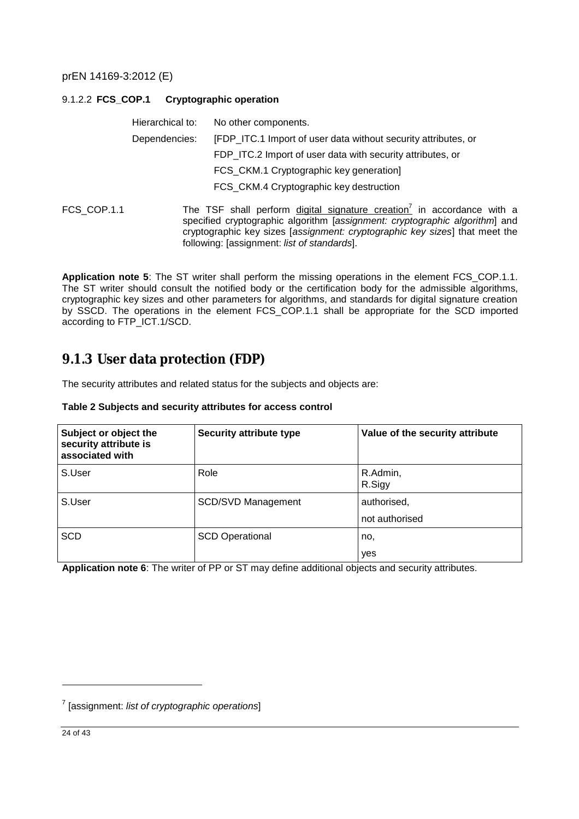#### 9.1.2.2 **FCS\_COP.1 Cryptographic operation**

|             | Hierarchical to: | No other components.                                                                                                                                         |
|-------------|------------------|--------------------------------------------------------------------------------------------------------------------------------------------------------------|
|             | Dependencies:    | [FDP_ITC.1 Import of user data without security attributes, or                                                                                               |
|             |                  | FDP_ITC.2 Import of user data with security attributes, or                                                                                                   |
|             |                  | FCS_CKM.1 Cryptographic key generation]                                                                                                                      |
|             |                  | FCS_CKM.4 Cryptographic key destruction                                                                                                                      |
| FCS COP.1.1 |                  | The TSF shall perform digital signature creation <sup>7</sup> in accordance with<br>specified cryptographic algorithm Lassignment: cryptographic algorithm a |

in accordance with a specified cryptographic algorithm [*assignment: cryptographic algorithm*] and cryptographic key sizes [*assignment: cryptographic key sizes*] that meet the following: [assignment: *list of standards*].

**Application note 5**: The ST writer shall perform the missing operations in the element FCS\_COP.1.1. The ST writer should consult the notified body or the certification body for the admissible algorithms, cryptographic key sizes and other parameters for algorithms, and standards for digital signature creation by SSCD. The operations in the element FCS\_COP.1.1 shall be appropriate for the SCD imported according to FTP\_ICT.1/SCD.

### **9.1.3 User data protection (FDP)**

The security attributes and related status for the subjects and objects are:

#### **Table 2 Subjects and security attributes for access control**

| Subject or object the<br>security attribute is<br>associated with | <b>Security attribute type</b> | Value of the security attribute |
|-------------------------------------------------------------------|--------------------------------|---------------------------------|
| S.User                                                            | Role                           | R.Admin,<br>R.Sigy              |
| S.User                                                            | <b>SCD/SVD Management</b>      | authorised,                     |
|                                                                   |                                | not authorised                  |
| <b>SCD</b>                                                        | <b>SCD Operational</b>         | no,                             |
|                                                                   |                                | yes                             |

**Application note 6**: The writer of PP or ST may define additional objects and security attributes.

<sup>7</sup> [assignment: *list of cryptographic operations*]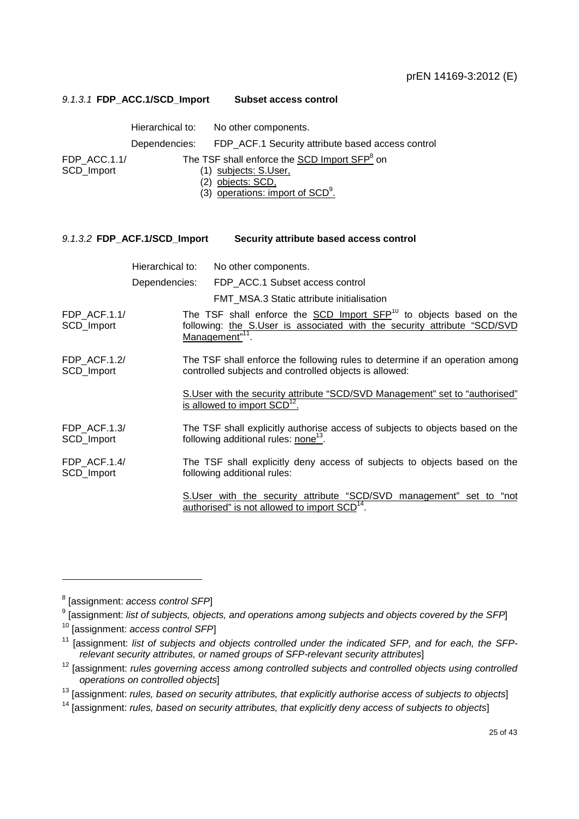| 9.1.3.1 FDP ACC.1/SCD Import | <b>Subset access control</b> |  |
|------------------------------|------------------------------|--|
| Hierarchical to:             | No other components.         |  |

Dependencies: FDP\_ACF.1 Security attribute based access control

FDP\_ACC.1.1/ SCD\_Import

- The TSF shall enforce the **SCD Import SFP**<sup>8</sup> on (1) subjects: S.User,
	- (2) objects: SCD,
	- $(3)$  operations: import of SCD $<sup>9</sup>$ .</sup>

| 9.1.3.2 FDP_ACF.1/SCD_Import |  | Security attribute based access control |  |  |
|------------------------------|--|-----------------------------------------|--|--|
|                              |  |                                         |  |  |

Hierarchical to: No other components. Dependencies: FDP\_ACC.1 Subset access control FMT\_MSA.3 Static attribute initialisation FDP\_ACF.1.1/ SCD\_Import The TSF shall enforce the SCD Import SFP<sup>10</sup> to objects based on the following: the S.User is associated with the security attribute "SCD/SVD Management"<sup>11</sup>. FDP\_ACF.1.2/ SCD\_Import The TSF shall enforce the following rules to determine if an operation among controlled subjects and controlled objects is allowed: S.User with the security attribute "SCD/SVD Management" set to "authorised" is allowed to import  $SCD<sup>1</sup>$ . FDP\_ACF.1.3/ SCD\_Import The TSF shall explicitly authorise access of subjects to objects based on the following additional rules: none<sup>13</sup>. FDP\_ACF.1.4/ SCD\_Import The TSF shall explicitly deny access of subjects to objects based on the following additional rules: S.User with the security attribute "SCD/SVD management" set to "not authorised" is not allowed to import  $SCD<sup>14</sup>$ .

<sup>8</sup> [assignment: *access control SFP*]

<sup>9</sup> [assignment: *list of subjects, objects, and operations among subjects and objects covered by the SFP*]

<sup>10</sup> [assignment: *access control SFP*]

<sup>11</sup> [assignment: *list of subjects and objects controlled under the indicated SFP, and for each, the SFPrelevant security attributes, or named groups of SFP-relevant security attributes*]

<sup>12</sup> [assignment: *rules governing access among controlled subjects and controlled objects using controlled operations on controlled objects*]

<sup>13</sup> [assignment: *rules, based on security attributes, that explicitly authorise access of subjects to objects*]

<sup>14</sup> [assignment: *rules, based on security attributes, that explicitly deny access of subjects to objects*]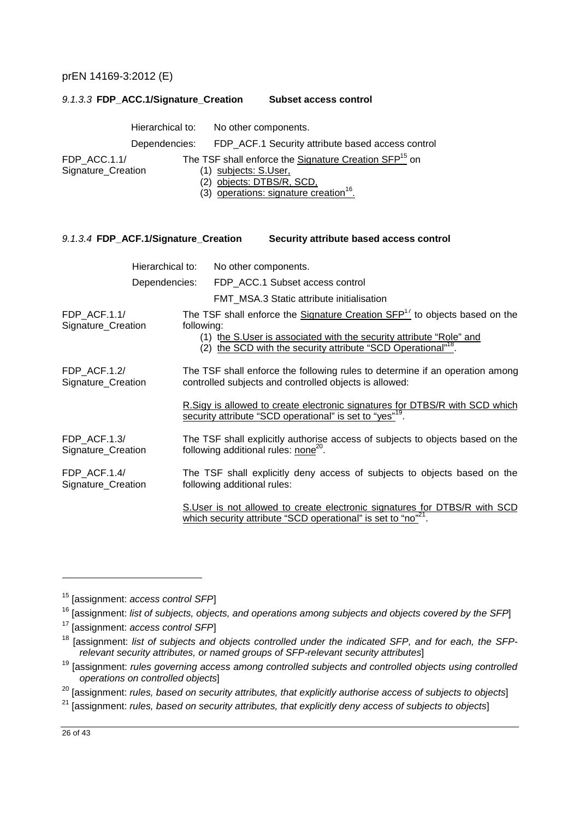|                                      | Hierarchical to: | No other components.                                                                                                                                                                                                                     |
|--------------------------------------|------------------|------------------------------------------------------------------------------------------------------------------------------------------------------------------------------------------------------------------------------------------|
|                                      | Dependencies:    | FDP_ACF.1 Security attribute based access control                                                                                                                                                                                        |
| FDP ACC.1.1/<br>Signature_Creation   |                  | The TSF shall enforce the Signature Creation SFP <sup>15</sup> on<br>(1) subjects: S.User,<br>(2) objects: DTBS/R, SCD,<br>(3) operations: signature creation <sup>16</sup> .                                                            |
| 9.1.3.4 FDP_ACF.1/Signature_Creation |                  | Security attribute based access control                                                                                                                                                                                                  |
|                                      | Hierarchical to: | No other components.                                                                                                                                                                                                                     |
|                                      | Dependencies:    | FDP ACC.1 Subset access control                                                                                                                                                                                                          |
|                                      |                  | FMT_MSA.3 Static attribute initialisation                                                                                                                                                                                                |
| FDP ACF.1.1/<br>Signature_Creation   | following:       | The TSF shall enforce the Signature Creation SFP <sup>17</sup> to objects based on the<br>(1) the S.User is associated with the security attribute "Role" and<br>(2) the SCD with the security attribute "SCD Operational" <sup>18</sup> |
| FDP ACF.1.2/<br>Signature_Creation   |                  | The TSF shall enforce the following rules to determine if an operation among<br>controlled subjects and controlled objects is allowed:                                                                                                   |

*9.1.3.3* **FDP\_ACC.1/Signature\_Creation Subset access control** 

R.Sigy is allowed to create electronic signatures for DTBS/R with SCD which security attribute "SCD operational" is set to "yes"<sup>19</sup>.

FDP\_ACF.1.3/ Signature\_Creation The TSF shall explicitly authorise access of subjects to objects based on the following additional rules: none<sup>20</sup>.

FDP\_ACF.1.4/ Signature\_Creation The TSF shall explicitly deny access of subjects to objects based on the following additional rules:

> S.User is not allowed to create electronic signatures for DTBS/R with SCD which security attribute "SCD operational" is set to "no"<sup>21</sup>.

<sup>15</sup> [assignment: *access control SFP*]

<sup>16</sup> [assignment: *list of subjects, objects, and operations among subjects and objects covered by the SFP*]

<sup>17</sup> [assignment: *access control SFP*]

<sup>18</sup> [assignment: *list of subjects and objects controlled under the indicated SFP, and for each, the SFPrelevant security attributes, or named groups of SFP-relevant security attributes*]

<sup>19</sup> [assignment: *rules governing access among controlled subjects and controlled objects using controlled operations on controlled objects*]

<sup>20</sup> [assignment: *rules, based on security attributes, that explicitly authorise access of subjects to objects*]

<sup>21</sup> [assignment: *rules, based on security attributes, that explicitly deny access of subjects to objects*]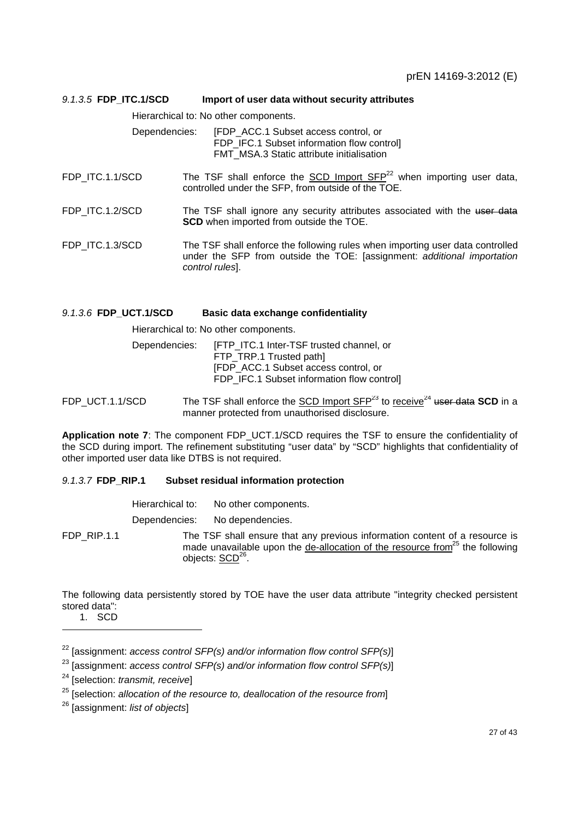| 9.1.3.5 FDP_ITC.1/SCD | Import of user data without security attributes                                                                                                                            |
|-----------------------|----------------------------------------------------------------------------------------------------------------------------------------------------------------------------|
|                       | Hierarchical to: No other components.                                                                                                                                      |
| Dependencies:         | [FDP ACC.1 Subset access control, or<br>FDP_IFC.1 Subset information flow control]<br>FMT MSA.3 Static attribute initialisation                                            |
| FDP ITC.1.1/SCD       | The TSF shall enforce the SCD Import $SFP^{22}$ when importing user data,<br>controlled under the SFP, from outside of the TOE.                                            |
| FDP ITC.1.2/SCD       | The TSF shall ignore any security attributes associated with the user data<br><b>SCD</b> when imported from outside the TOE.                                               |
| FDP ITC.1.3/SCD       | The TSF shall enforce the following rules when importing user data controlled<br>under the SFP from outside the TOE: [assignment: additional importation<br>control rules. |

#### *9.1.3.6* **FDP\_UCT.1/SCD Basic data exchange confidentiality**

Hierarchical to: No other components.

| Dependencies: | [FTP ITC.1 Inter-TSF trusted channel, or  |
|---------------|-------------------------------------------|
|               | FTP TRP.1 Trusted path]                   |
|               | [FDP_ACC.1 Subset access control, or      |
|               | FDP IFC.1 Subset information flow control |

FDP UCT.1.1/SCD The TSF shall enforce the SCD Import  $SFP^{23}$  to receive<sup>24</sup> user data **SCD** in a manner protected from unauthorised disclosure.

**Application note 7**: The component FDP\_UCT.1/SCD requires the TSF to ensure the confidentiality of the SCD during import. The refinement substituting "user data" by "SCD" highlights that confidentiality of other imported user data like DTBS is not required.

#### *9.1.3.7* **FDP\_RIP.1 Subset residual information protection**

| Hierarchical to: | No other components.          |
|------------------|-------------------------------|
| Dependencies:    | No dependencies.              |
|                  | The TCE shall enoure that any |

FDP\_RIP.1.1 The TSF shall ensure that any previous information content of a resource is made unavailable upon the de-allocation of the resource from<sup>25</sup> the following objects: SCD<sup>26</sup>.

The following data persistently stored by TOE have the user data attribute "integrity checked persistent stored data":

<sup>1.</sup> SCD

<sup>22</sup> [assignment: *access control SFP(s) and/or information flow control SFP(s)*]

<sup>23</sup> [assignment: *access control SFP(s) and/or information flow control SFP(s)*]

<sup>24</sup> [selection: *transmit, receive*]

<sup>25</sup> [selection: *allocation of the resource to, deallocation of the resource from*]

<sup>26</sup> [assignment: *list of objects*]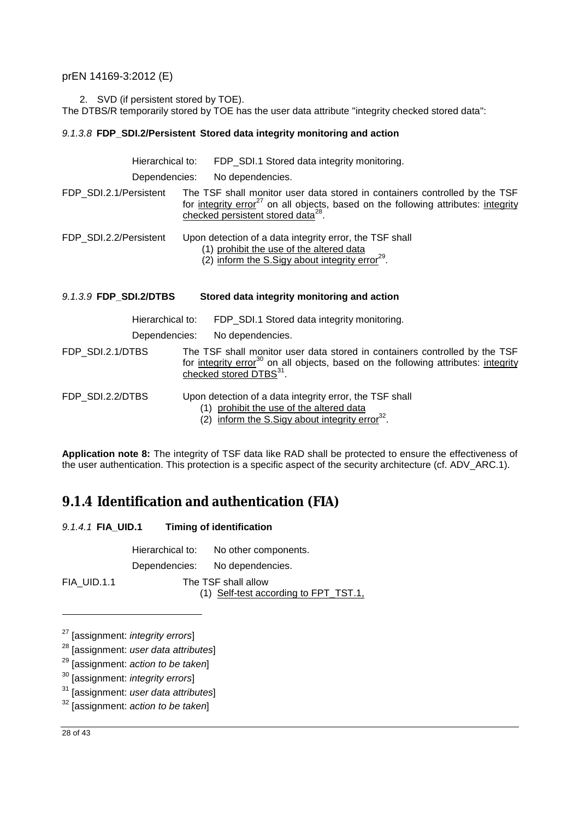2. SVD (if persistent stored by TOE).

The DTBS/R temporarily stored by TOE has the user data attribute "integrity checked stored data":

#### *9.1.3.8* **FDP\_SDI.2/Persistent Stored data integrity monitoring and action**

| Hierarchical to:       | FDP SDI.1 Stored data integrity monitoring.                                                                                                                                                                                    |
|------------------------|--------------------------------------------------------------------------------------------------------------------------------------------------------------------------------------------------------------------------------|
| Dependencies:          | No dependencies.                                                                                                                                                                                                               |
| FDP SDI.2.1/Persistent | The TSF shall monitor user data stored in containers controlled by the TSF<br>for integrity error <sup>27</sup> on all objects, based on the following attributes: integrity<br>checked persistent stored data <sup>28</sup> . |
| FDP SDI.2.2/Persistent | Upon detection of a data integrity error, the TSF shall<br>(1) prohibit the use of the altered data<br>(2) inform the S. Sigy about integrity error <sup>29</sup> .                                                            |
| 9.1.3.9 FDP SDI.2/DTBS | Stored data integrity monitoring and action                                                                                                                                                                                    |
| Hierarchical to:       | FDP_SDI.1 Stored data integrity monitoring.                                                                                                                                                                                    |

Dependencies: No dependencies.

FDP\_SDI.2.1/DTBS The TSF shall monitor user data stored in containers controlled by the TSF for integrity error<sup>30</sup> on all objects, based on the following attributes: integrity checked stored DTBS<sup>31</sup>.

FDP\_SDI.2.2/DTBS Upon detection of a data integrity error, the TSF shall

- (1) prohibit the use of the altered data
- $(2)$  inform the S. Sigy about integrity error<sup>32</sup>.

**Application note 8:** The integrity of TSF data like RAD shall be protected to ensure the effectiveness of the user authentication. This protection is a specific aspect of the security architecture (cf. ADV\_ARC.1).

### **9.1.4 Identification and authentication (FIA)**

| 9.1.4.1 FIA_UID.1 | <b>Timing of identification</b>                              |
|-------------------|--------------------------------------------------------------|
|                   | Hierarchical to: No other components.                        |
|                   | Dependencies: No dependencies.                               |
| FIA UID.1.1       | The TSF shall allow<br>(1) Self-test according to FPT_TST.1, |

<sup>27</sup> [assignment: *integrity errors*]

<sup>28</sup> [assignment: *user data attributes*]

<sup>29</sup> [assignment: *action to be taken*]

<sup>30</sup> [assignment: *integrity errors*]

<sup>31</sup> [assignment: *user data attributes*]

<sup>32</sup> [assignment: *action to be taken*]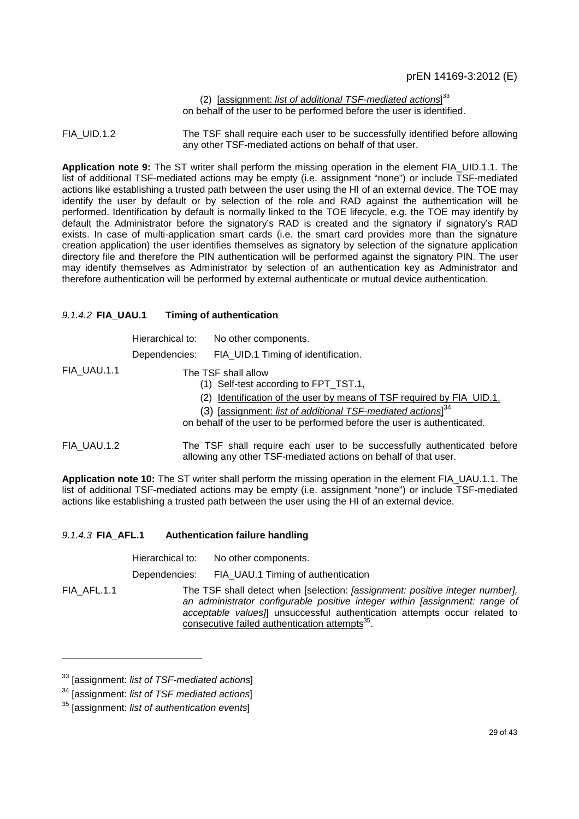(2) [assignment: *list of additional TSF-mediated actions*] 33 on behalf of the user to be performed before the user is identified.

FIA UID.1.2 The TSF shall require each user to be successfully identified before allowing any other TSF-mediated actions on behalf of that user.

**Application note 9:** The ST writer shall perform the missing operation in the element FIA\_UID.1.1. The list of additional TSF-mediated actions may be empty (i.e. assignment "none") or include TSF-mediated actions like establishing a trusted path between the user using the HI of an external device. The TOE may identify the user by default or by selection of the role and RAD against the authentication will be performed. Identification by default is normally linked to the TOE lifecycle, e.g. the TOE may identify by default the Administrator before the signatory's RAD is created and the signatory if signatory's RAD exists. In case of multi-application smart cards (i.e. the smart card provides more than the signature creation application) the user identifies themselves as signatory by selection of the signature application directory file and therefore the PIN authentication will be performed against the signatory PIN. The user may identify themselves as Administrator by selection of an authentication key as Administrator and therefore authentication will be performed by external authenticate or mutual device authentication.

#### *9.1.4.2* **FIA\_UAU.1 Timing of authentication**

|             | Hierarchical to: | No other components.                                                                                                                                                                                               |
|-------------|------------------|--------------------------------------------------------------------------------------------------------------------------------------------------------------------------------------------------------------------|
|             | Dependencies:    | FIA_UID.1 Timing of identification.                                                                                                                                                                                |
| FIA_UAU.1.1 |                  | The TSF shall allow<br>(1) Self-test according to FPT_TST.1,                                                                                                                                                       |
|             |                  | (2) Identification of the user by means of TSF required by FIA_UID.1.<br>(3) [assignment: list of additional TSF-mediated actions] $34$<br>on behalf of the user to be performed before the user is authenticated. |
| FIA UAU.1.2 |                  | The TSF shall require each user to be successfully authenticated before<br>allowing any other TSF-mediated actions on behalf of that user.                                                                         |

**Application note 10:** The ST writer shall perform the missing operation in the element FIA\_UAU.1.1. The list of additional TSF-mediated actions may be empty (i.e. assignment "none") or include TSF-mediated actions like establishing a trusted path between the user using the HI of an external device.

#### *9.1.4.3* **FIA\_AFL.1 Authentication failure handling**

|             | Hierarchical to: | No other components.                                                                                                                                                                                                                                                                                           |
|-------------|------------------|----------------------------------------------------------------------------------------------------------------------------------------------------------------------------------------------------------------------------------------------------------------------------------------------------------------|
|             | Dependencies:    | FIA_UAU.1 Timing of authentication                                                                                                                                                                                                                                                                             |
| FIA AFL.1.1 |                  | The TSF shall detect when [selection: <i>[assignment: positive integer number]</i> ,<br>an administrator configurable positive integer within [assignment: range of<br>acceptable values]] unsuccessful authentication attempts occur related to<br>consecutive failed authentication attempts <sup>35</sup> . |

<sup>33</sup> [assignment: *list of TSF-mediated actions*]

<sup>34</sup> [assignment: *list of TSF mediated actions*]

<sup>35</sup> [assignment: *list of authentication events*]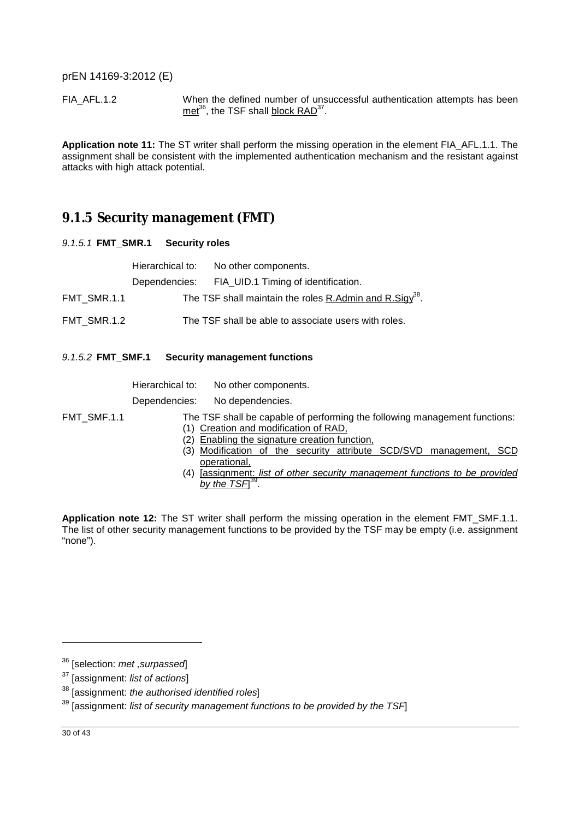FIA\_AFL.1.2 When the defined number of unsuccessful authentication attempts has been met<sup>36</sup>, the TSF shall **block RAD**<sup>37</sup>.

**Application note 11:** The ST writer shall perform the missing operation in the element FIA\_AFL.1.1. The assignment shall be consistent with the implemented authentication mechanism and the resistant against attacks with high attack potential.

### **9.1.5 Security management (FMT)**

*9.1.5.1* **FMT\_SMR.1 Security roles** 

|             | Hierarchical to: No other components.                               |
|-------------|---------------------------------------------------------------------|
|             | Dependencies: FIA UID.1 Timing of identification.                   |
| FMT SMR.1.1 | The TSF shall maintain the roles R.Admin and R.Sigy <sup>38</sup> . |
| FMT SMR.1.2 | The TSF shall be able to associate users with roles.                |

*9.1.5.2* **FMT\_SMF.1 Security management functions** 

| Hierarchical to: | No other components.                    |
|------------------|-----------------------------------------|
| Dependencies:    | No dependencies.                        |
|                  | The TSF shall be capable of performing  |
|                  | (1) Creation and modification of RAD,   |
|                  | (2) Enabling the signature creation fun |

- FMT\_SMF.1.1 The TSF shall be capable of performing the following management functions:
	-
	- oling the signature creation function,
	- (3) Modification of the security attribute SCD/SVD management, SCD operational,
	- (4) [assignment: *list of other security management functions to be provided*  by the TSF]<sup>39</sup>.

**Application note 12:** The ST writer shall perform the missing operation in the element FMT\_SMF.1.1. The list of other security management functions to be provided by the TSF may be empty (i.e. assignment "none").

<sup>36</sup> [selection: *met ,surpassed*]

<sup>37</sup> [assignment: *list of actions*]

<sup>38</sup> [assignment: *the authorised identified roles*]

<sup>39</sup> [assignment: *list of security management functions to be provided by the TSF*]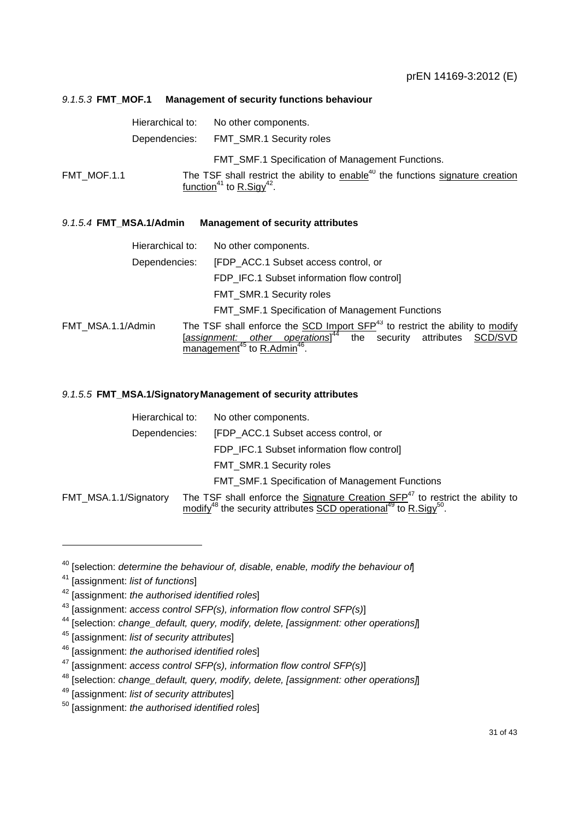#### *9.1.5.3* **FMT\_MOF.1 Management of security functions behaviour**

|             | Hierarchical to: | No other components.                                                                                                                            |
|-------------|------------------|-------------------------------------------------------------------------------------------------------------------------------------------------|
|             | Dependencies:    | FMT SMR.1 Security roles                                                                                                                        |
|             |                  | <b>FMT SMF.1 Specification of Management Functions.</b>                                                                                         |
| FMT MOF.1.1 |                  | The TSF shall restrict the ability to enable <sup>40</sup> the functions signature creation<br>function <sup>41</sup> to R.Sigy <sup>42</sup> . |

#### *9.1.5.4* **FMT\_MSA.1/Admin Management of security attributes**

|                   | Hierarchical to: | No other components.                                                                                                                                                                                                            |
|-------------------|------------------|---------------------------------------------------------------------------------------------------------------------------------------------------------------------------------------------------------------------------------|
|                   | Dependencies:    | [FDP_ACC.1 Subset access control, or                                                                                                                                                                                            |
|                   |                  | FDP IFC.1 Subset information flow control]                                                                                                                                                                                      |
|                   |                  | FMT_SMR.1 Security roles                                                                                                                                                                                                        |
|                   |                  | <b>FMT SMF.1 Specification of Management Functions</b>                                                                                                                                                                          |
| FMT MSA.1.1/Admin |                  | The TSF shall enforce the SCD Import SFP <sup>43</sup> to restrict the ability to modify<br>[assignment: other operations] <sup>44</sup> the security attributes SCD/SVD<br>management <sup>45</sup> to R.Admin <sup>46</sup> . |

#### *9.1.5.5* **FMT\_MSA.1/SignatoryManagement of security attributes**

| Hierarchical to:      | No other components.                                                                                                                                                                    |
|-----------------------|-----------------------------------------------------------------------------------------------------------------------------------------------------------------------------------------|
| Dependencies:         | [FDP ACC.1 Subset access control, or                                                                                                                                                    |
|                       | FDP IFC.1 Subset information flow control]                                                                                                                                              |
|                       | FMT_SMR.1 Security roles                                                                                                                                                                |
|                       | <b>FMT SMF.1 Specification of Management Functions</b>                                                                                                                                  |
| FMT_MSA.1.1/Signatory | The TSF shall enforce the Signature Creation $SFP47$ to restrict the ability to<br>modify <sup>48</sup> the security attributes SCD operational <sup>49</sup> to R.Sigy <sup>50</sup> . |

<sup>40</sup> [selection: *determine the behaviour of, disable, enable, modify the behaviour of*]

<sup>41</sup> [assignment: *list of functions*]

<sup>42</sup> [assignment: *the authorised identified roles*]

<sup>43</sup> [assignment: *access control SFP(s), information flow control SFP(s)*]

<sup>44</sup> [selection: *change\_default, query, modify, delete, [assignment: other operations]*]

<sup>45</sup> [assignment: *list of security attributes*]

<sup>46</sup> [assignment: *the authorised identified roles*]

<sup>47</sup> [assignment: *access control SFP(s), information flow control SFP(s)*]

<sup>48</sup> [selection: *change\_default, query, modify, delete, [assignment: other operations]*]

<sup>49</sup> [assignment: *list of security attributes*]

<sup>50</sup> [assignment: *the authorised identified roles*]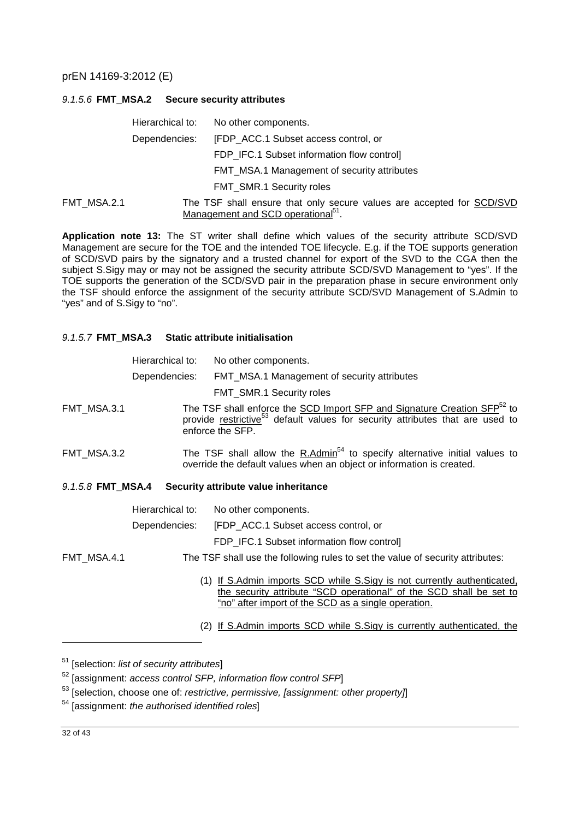#### *9.1.5.6* **FMT\_MSA.2 Secure security attributes**

|             | Hierarchical to: | No other components.                                                                                                    |
|-------------|------------------|-------------------------------------------------------------------------------------------------------------------------|
|             | Dependencies:    | [FDP_ACC.1 Subset access control, or                                                                                    |
|             |                  | FDP_IFC.1 Subset information flow control]                                                                              |
|             |                  | FMT_MSA.1 Management of security attributes                                                                             |
|             |                  | <b>FMT SMR.1 Security roles</b>                                                                                         |
| FMT MSA.2.1 |                  | The TSF shall ensure that only secure values are accepted for SCD/SVD<br>Management and SCD operational <sup>51</sup> . |

**Application note 13:** The ST writer shall define which values of the security attribute SCD/SVD Management are secure for the TOE and the intended TOE lifecycle. E.g. if the TOE supports generation of SCD/SVD pairs by the signatory and a trusted channel for export of the SVD to the CGA then the subject S.Sigy may or may not be assigned the security attribute SCD/SVD Management to "yes". If the TOE supports the generation of the SCD/SVD pair in the preparation phase in secure environment only the TSF should enforce the assignment of the security attribute SCD/SVD Management of S.Admin to "yes" and of S.Sigy to "no".

#### *9.1.5.7* **FMT\_MSA.3 Static attribute initialisation**

|                   | Hierarchical to: | No other components.                                                                                                                                                                                  |
|-------------------|------------------|-------------------------------------------------------------------------------------------------------------------------------------------------------------------------------------------------------|
|                   | Dependencies:    | FMT_MSA.1 Management of security attributes                                                                                                                                                           |
|                   |                  | FMT_SMR.1 Security roles                                                                                                                                                                              |
| FMT_MSA.3.1       |                  | The TSF shall enforce the SCD Import SFP and Signature Creation SFP <sup>52</sup> to<br>provide restrictive <sup>53</sup> default values for security attributes that are used to<br>enforce the SFP. |
| FMT_MSA.3.2       |                  | The TSF shall allow the $R.Admin54$ to specify alternative initial values to<br>override the default values when an object or information is created.                                                 |
| 9.1.5.8 FMT MSA.4 |                  | Security attribute value inheritance                                                                                                                                                                  |
|                   | Hierarchical to: | No other components.                                                                                                                                                                                  |
|                   | Dependencies:    | [FDP ACC.1 Subset access control, or                                                                                                                                                                  |
|                   |                  | FDP_IFC.1 Subset information flow control]                                                                                                                                                            |
| FMT_MSA.4.1       |                  | The TSF shall use the following rules to set the value of security attributes:                                                                                                                        |
|                   |                  | (1) If S.Admin imports SCD while S.Sigy is not currently authenticated.<br>the security attribute "SCD operational" of the SCD shall be set to<br>"no" after import of the SCD as a single operation. |
|                   |                  | (2) If S.Admin imports SCD while S.Sigy is currently authenticated, the                                                                                                                               |

<sup>51</sup> [selection: *list of security attributes*]

<sup>52</sup> [assignment: *access control SFP, information flow control SFP*]

<sup>53</sup> [selection, choose one of: *restrictive, permissive, [assignment: other property]*]

<sup>54</sup> [assignment: *the authorised identified roles*]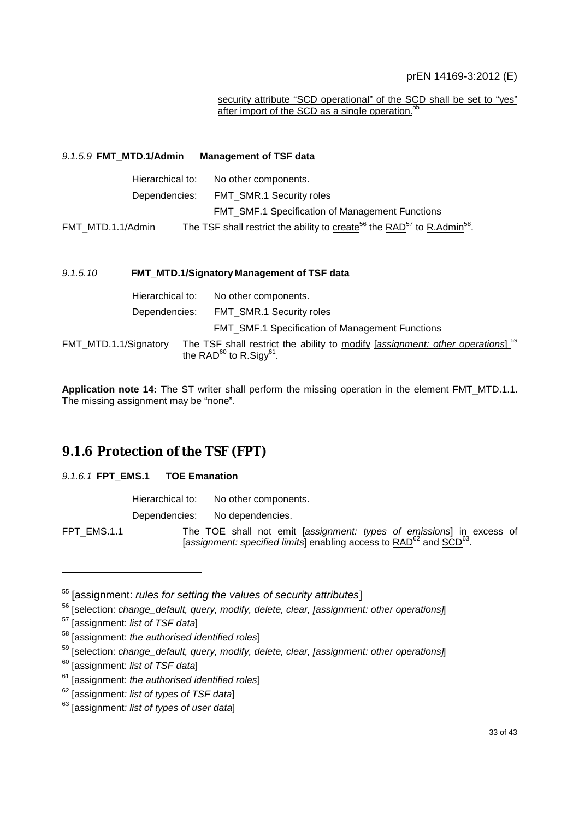#### security attribute "SCD operational" of the SCD shall be set to "yes" after import of the SCD as a single operation.<sup>5</sup>

| 9.1.5.9 FMT_MTD.1/Admin |                  | <b>Management of TSF data</b>                                                                                                  |
|-------------------------|------------------|--------------------------------------------------------------------------------------------------------------------------------|
|                         | Hierarchical to: | No other components.                                                                                                           |
|                         | Dependencies:    | FMT_SMR.1 Security roles                                                                                                       |
|                         |                  | <b>FMT_SMF.1 Specification of Management Functions</b>                                                                         |
| FMT_MTD.1.1/Admin       |                  | The TSF shall restrict the ability to create <sup>56</sup> the RAD <sup>57</sup> to R.Admin <sup>58</sup> .                    |
| 9.1.5.10                |                  | FMT_MTD.1/Signatory Management of TSF data                                                                                     |
|                         | Hierarchical to: | No other components.                                                                                                           |
|                         | Dependencies:    | <b>FMT SMR.1 Security roles</b>                                                                                                |
|                         |                  | <b>FMT_SMF.1 Specification of Management Functions</b>                                                                         |
| FMT_MTD.1.1/Signatory   |                  | The TSF shall restrict the ability to modify [assignment: other operations]<br>the RAD <sup>60</sup> to R.Sigy <sup>61</sup> . |

**Application note 14:** The ST writer shall perform the missing operation in the element FMT\_MTD.1.1. The missing assignment may be "none".

### **9.1.6 Protection of the TSF (FPT)**

#### *9.1.6.1* **FPT\_EMS.1 TOE Emanation**

|             | Hierarchical to: | No other components.                                                                                                                                                |
|-------------|------------------|---------------------------------------------------------------------------------------------------------------------------------------------------------------------|
|             | Dependencies:    | No dependencies.                                                                                                                                                    |
| FPT EMS.1.1 |                  | The TOE shall not emit [assignment: types of emissions] in excess of<br>[assignment: specified limits] enabling access to RAD <sup>62</sup> and SCD <sup>63</sup> . |

<sup>55</sup> [assignment: *rules for setting the values of security attributes*]

l

59

<sup>56</sup> [selection: *change\_default, query, modify, delete, clear, [assignment: other operations]*]

<sup>57</sup> [assignment: *list of TSF data*]

<sup>58</sup> [assignment: *the authorised identified roles*]

<sup>59</sup> [selection: *change\_default, query, modify, delete, clear, [assignment: other operations]*]

<sup>60</sup> [assignment: *list of TSF data*]

<sup>61</sup> [assignment: *the authorised identified roles*]

<sup>62</sup> [assignment*: list of types of TSF data*]

<sup>63</sup> [assignment*: list of types of user data*]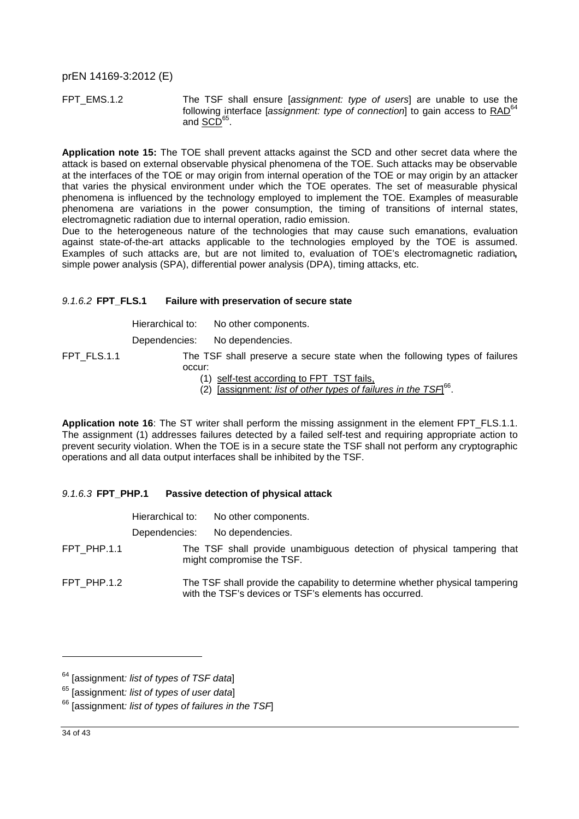FPT\_EMS.1.2 The TSF shall ensure [*assignment: type of users*] are unable to use the following interface [*assignment: type of connection*] to gain access to RAD<sup>64</sup> and <u>SCD</u><sup>65</sup>.

**Application note 15:** The TOE shall prevent attacks against the SCD and other secret data where the attack is based on external observable physical phenomena of the TOE. Such attacks may be observable at the interfaces of the TOE or may origin from internal operation of the TOE or may origin by an attacker that varies the physical environment under which the TOE operates. The set of measurable physical phenomena is influenced by the technology employed to implement the TOE. Examples of measurable phenomena are variations in the power consumption, the timing of transitions of internal states, electromagnetic radiation due to internal operation, radio emission.

Due to the heterogeneous nature of the technologies that may cause such emanations, evaluation against state-of-the-art attacks applicable to the technologies employed by the TOE is assumed. Examples of such attacks are, but are not limited to, evaluation of TOE's electromagnetic radiation**,** simple power analysis (SPA), differential power analysis (DPA), timing attacks, etc.

#### *9.1.6.2* **FPT\_FLS.1 Failure with preservation of secure state**

| Hierarchical to: | No other components. |
|------------------|----------------------|
|------------------|----------------------|

Dependencies: No dependencies.

- FPT\_FLS.1.1 The TSF shall preserve a secure state when the following types of failures occur:
	- (1) self-test according to FPT\_TST fails,
	- (2) [assignment*: list of other types of failures in the TSF*] 66 .

**Application note 16**: The ST writer shall perform the missing assignment in the element FPT\_FLS.1.1. The assignment (1) addresses failures detected by a failed self-test and requiring appropriate action to prevent security violation. When the TOE is in a secure state the TSF shall not perform any cryptographic operations and all data output interfaces shall be inhibited by the TSF.

#### *9.1.6.3* **FPT\_PHP.1 Passive detection of physical attack**

|             | Hierarchical to: | No other components.                                                                                                                   |
|-------------|------------------|----------------------------------------------------------------------------------------------------------------------------------------|
|             | Dependencies:    | No dependencies.                                                                                                                       |
| FPT PHP.1.1 |                  | The TSF shall provide unambiguous detection of physical tampering that<br>might compromise the TSF.                                    |
| FPT PHP.1.2 |                  | The TSF shall provide the capability to determine whether physical tampering<br>with the TSF's devices or TSF's elements has occurred. |

<sup>64</sup> [assignment*: list of types of TSF data*]

<sup>65</sup> [assignment*: list of types of user data*]

<sup>66</sup> [assignment*: list of types of failures in the TSF*]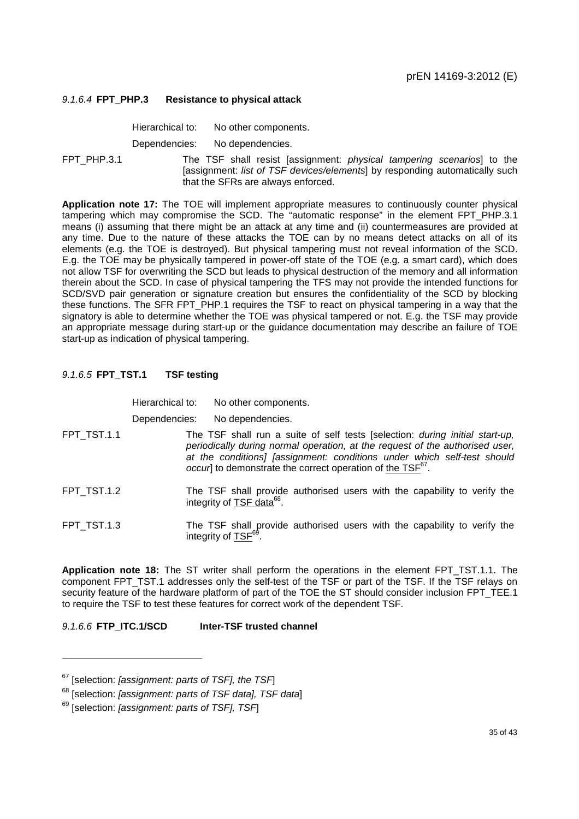#### *9.1.6.4* **FPT\_PHP.3 Resistance to physical attack**

Hierarchical to: No other components.

Dependencies: No dependencies.

FPT\_PHP.3.1 The TSF shall resist [assignment: *physical tampering scenarios*] to the [assignment: *list of TSF devices/elements*] by responding automatically such that the SFRs are always enforced.

**Application note 17:** The TOE will implement appropriate measures to continuously counter physical tampering which may compromise the SCD. The "automatic response" in the element FPT\_PHP.3.1 means (i) assuming that there might be an attack at any time and (ii) countermeasures are provided at any time. Due to the nature of these attacks the TOE can by no means detect attacks on all of its elements (e.g. the TOE is destroyed). But physical tampering must not reveal information of the SCD. E.g. the TOE may be physically tampered in power-off state of the TOE (e.g. a smart card), which does not allow TSF for overwriting the SCD but leads to physical destruction of the memory and all information therein about the SCD. In case of physical tampering the TFS may not provide the intended functions for SCD/SVD pair generation or signature creation but ensures the confidentiality of the SCD by blocking these functions. The SFR FPT\_PHP.1 requires the TSF to react on physical tampering in a way that the signatory is able to determine whether the TOE was physical tampered or not. E.g. the TSF may provide an appropriate message during start-up or the guidance documentation may describe an failure of TOE start-up as indication of physical tampering.

#### *9.1.6.5* **FPT\_TST.1 TSF testing**

Hierarchical to: No other components. Dependencies: No dependencies. FPT\_TST.1.1 The TSF shall run a suite of self tests [selection: *during initial start-up, periodically during normal operation, at the request of the authorised user, at the conditions] [assignment: conditions under which self-test should occur*] to demonstrate the correct operation of the TSF<sup>67</sup>. FPT TST.1.2 The TSF shall provide authorised users with the capability to verify the integrity of TSF data<sup>68</sup>. FPT\_TST.1.3 The TSF shall provide authorised users with the capability to verify the integrity of <u>TSF<sup>69</sup>.</u>

**Application note 18:** The ST writer shall perform the operations in the element FPT\_TST.1.1. The component FPT\_TST.1 addresses only the self-test of the TSF or part of the TSF. If the TSF relays on security feature of the hardware platform of part of the TOE the ST should consider inclusion FPT\_TEE.1 to require the TSF to test these features for correct work of the dependent TSF.

*9.1.6.6* **FTP\_ITC.1/SCD Inter-TSF trusted channel** 

<sup>67</sup> [selection: *[assignment: parts of TSF], the TSF*]

<sup>68</sup> [selection: *[assignment: parts of TSF data], TSF data*]

<sup>69</sup> [selection: *[assignment: parts of TSF], TSF*]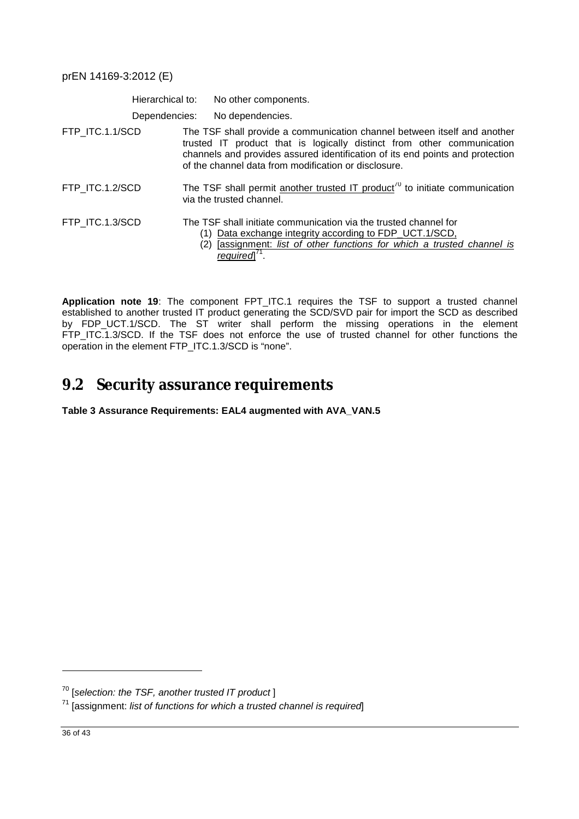|                 | Hierarchical to: | No other components.                                                                                                                                                                                                                                                                        |
|-----------------|------------------|---------------------------------------------------------------------------------------------------------------------------------------------------------------------------------------------------------------------------------------------------------------------------------------------|
|                 | Dependencies:    | No dependencies.                                                                                                                                                                                                                                                                            |
| FTP_ITC.1.1/SCD |                  | The TSF shall provide a communication channel between itself and another<br>trusted IT product that is logically distinct from other communication<br>channels and provides assured identification of its end points and protection<br>of the channel data from modification or disclosure. |
| FTP ITC.1.2/SCD |                  | The TSF shall permit another trusted IT product <sup>70</sup> to initiate communication<br>via the trusted channel.                                                                                                                                                                         |
| FTP ITC.1.3/SCD |                  | The TSF shall initiate communication via the trusted channel for<br>Data exchange integrity according to FDP_UCT.1/SCD,<br>(2) [assignment: list of other functions for which a trusted channel is<br>reauiredl                                                                             |

**Application note 19**: The component FPT\_ITC.1 requires the TSF to support a trusted channel established to another trusted IT product generating the SCD/SVD pair for import the SCD as described by FDP\_UCT.1/SCD. The ST writer shall perform the missing operations in the element FTP\_ITC.1.3/SCD. If the TSF does not enforce the use of trusted channel for other functions the operation in the element FTP\_ITC.1.3/SCD is "none".

## **9.2 Security assurance requirements**

**Table 3 Assurance Requirements: EAL4 augmented with AVA\_VAN.5** 

<sup>70</sup> [*selection: the TSF, another trusted IT product* ]

<sup>71</sup> [assignment: *list of functions for which a trusted channel is required*]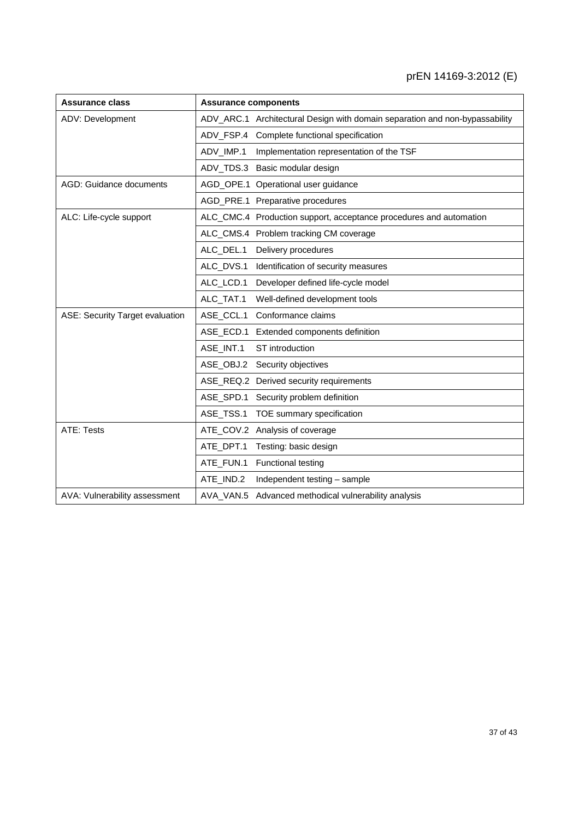| <b>Assurance class</b>                 | <b>Assurance components</b> |                                                                             |  |  |  |
|----------------------------------------|-----------------------------|-----------------------------------------------------------------------------|--|--|--|
| ADV: Development                       |                             | ADV_ARC.1 Architectural Design with domain separation and non-bypassability |  |  |  |
|                                        |                             | ADV_FSP.4 Complete functional specification                                 |  |  |  |
|                                        | ADV_IMP.1                   | Implementation representation of the TSF                                    |  |  |  |
|                                        |                             | ADV_TDS.3 Basic modular design                                              |  |  |  |
| AGD: Guidance documents                |                             | AGD_OPE.1 Operational user guidance                                         |  |  |  |
|                                        |                             | AGD_PRE.1 Preparative procedures                                            |  |  |  |
| ALC: Life-cycle support                |                             | ALC_CMC.4 Production support, acceptance procedures and automation          |  |  |  |
|                                        |                             | ALC_CMS.4 Problem tracking CM coverage                                      |  |  |  |
|                                        | ALC_DEL.1                   | Delivery procedures                                                         |  |  |  |
|                                        |                             | ALC_DVS.1 Identification of security measures                               |  |  |  |
|                                        | ALC_LCD.1                   | Developer defined life-cycle model                                          |  |  |  |
|                                        | ALC_TAT.1                   | Well-defined development tools                                              |  |  |  |
| <b>ASE: Security Target evaluation</b> |                             | ASE_CCL.1 Conformance claims                                                |  |  |  |
|                                        |                             | ASE_ECD.1 Extended components definition                                    |  |  |  |
|                                        | ASE_INT.1                   | ST introduction                                                             |  |  |  |
|                                        |                             | ASE_OBJ.2 Security objectives                                               |  |  |  |
|                                        |                             | ASE_REQ.2 Derived security requirements                                     |  |  |  |
|                                        |                             | ASE_SPD.1 Security problem definition                                       |  |  |  |
|                                        |                             | ASE_TSS.1 TOE summary specification                                         |  |  |  |
| <b>ATE: Tests</b>                      |                             | ATE_COV.2 Analysis of coverage                                              |  |  |  |
|                                        |                             | ATE_DPT.1 Testing: basic design                                             |  |  |  |
|                                        |                             | ATE_FUN.1 Functional testing                                                |  |  |  |
|                                        | ATE_IND.2                   | Independent testing - sample                                                |  |  |  |
| AVA: Vulnerability assessment          |                             | AVA_VAN.5 Advanced methodical vulnerability analysis                        |  |  |  |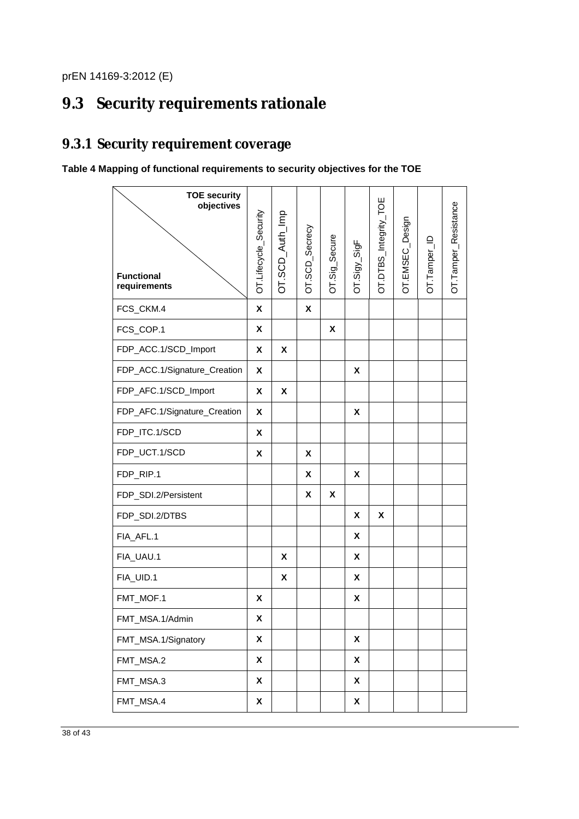# **9.3 Security requirements rationale**

### **9.3.1 Security requirement coverage**

### **Table 4 Mapping of functional requirements to security objectives for the TOE**

| <b>TOE security</b><br>objectives<br><b>Functional</b><br>requirements | OT.Lifecycle_Security | OT.SCD_Auth_Imp | OT.SCD_Secrecy | OT.Sig_Secure | $OT.Sigy$ _ $SigF$ | OT.DTBS_Integrity_TOE | OT.EMSEC_Design | OT.Tamper_ID | OT.Tamper_Resistance |
|------------------------------------------------------------------------|-----------------------|-----------------|----------------|---------------|--------------------|-----------------------|-----------------|--------------|----------------------|
| FCS_CKM.4                                                              | X                     |                 | X              |               |                    |                       |                 |              |                      |
| FCS_COP.1                                                              | X                     |                 |                | X             |                    |                       |                 |              |                      |
| FDP_ACC.1/SCD_Import                                                   | X                     | X               |                |               |                    |                       |                 |              |                      |
| FDP_ACC.1/Signature_Creation                                           | X                     |                 |                |               | X                  |                       |                 |              |                      |
| FDP_AFC.1/SCD_Import                                                   | X                     | X               |                |               |                    |                       |                 |              |                      |
| FDP_AFC.1/Signature_Creation                                           | X                     |                 |                |               | X                  |                       |                 |              |                      |
| FDP_ITC.1/SCD                                                          | X                     |                 |                |               |                    |                       |                 |              |                      |
| FDP_UCT.1/SCD                                                          | X                     |                 | X              |               |                    |                       |                 |              |                      |
| FDP_RIP.1                                                              |                       |                 | X              |               | X                  |                       |                 |              |                      |
| FDP_SDI.2/Persistent                                                   |                       |                 | X              | X             |                    |                       |                 |              |                      |
| FDP_SDI.2/DTBS                                                         |                       |                 |                |               | X                  | X                     |                 |              |                      |
| FIA_AFL.1                                                              |                       |                 |                |               | X                  |                       |                 |              |                      |
| FIA_UAU.1                                                              |                       | X               |                |               | X                  |                       |                 |              |                      |
| FIA_UID.1                                                              |                       | X               |                |               | X                  |                       |                 |              |                      |
| FMT_MOF.1                                                              | X                     |                 |                |               | X                  |                       |                 |              |                      |
| FMT_MSA.1/Admin                                                        | X                     |                 |                |               |                    |                       |                 |              |                      |
| FMT_MSA.1/Signatory                                                    | X                     |                 |                |               | $\pmb{\mathsf{X}}$ |                       |                 |              |                      |
| FMT_MSA.2                                                              | X                     |                 |                |               | $\pmb{\mathsf{X}}$ |                       |                 |              |                      |
| FMT_MSA.3                                                              | X                     |                 |                |               | $\pmb{\mathsf{X}}$ |                       |                 |              |                      |
| FMT_MSA.4                                                              | X                     |                 |                |               | $\pmb{\mathsf{X}}$ |                       |                 |              |                      |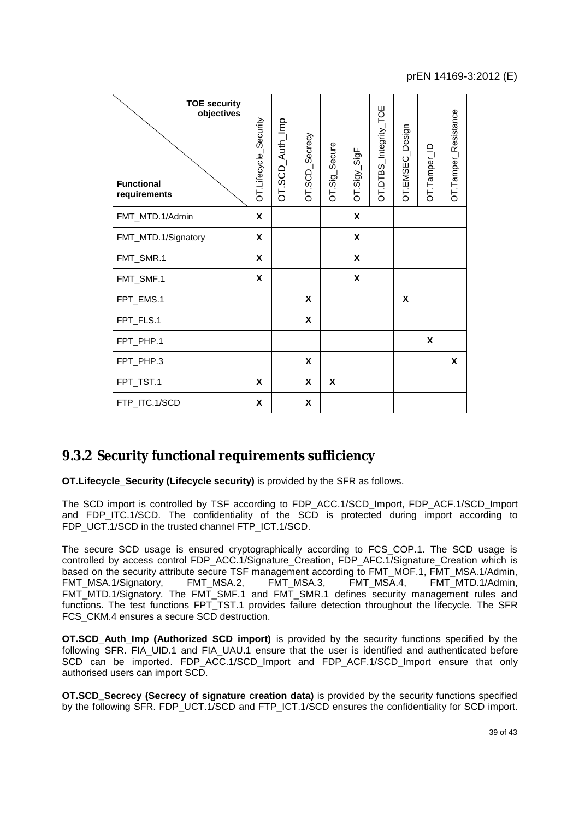| <b>TOE security</b><br>objectives<br><b>Functional</b><br>requirements | OT.Lifecycle_Security | OT.SCD_Auth_Imp | OT.SCD_Secrecy | OT.Sig_Secure | $OT.Sigy$ _SigF | OT.DTBS_Integrity_TOE | OT.EMSEC_Design | OT.Tamper_ID | OT.Tamper_Resistance |
|------------------------------------------------------------------------|-----------------------|-----------------|----------------|---------------|-----------------|-----------------------|-----------------|--------------|----------------------|
| FMT_MTD.1/Admin                                                        | X                     |                 |                |               | X               |                       |                 |              |                      |
| FMT_MTD.1/Signatory                                                    | X                     |                 |                |               | X               |                       |                 |              |                      |
| FMT_SMR.1                                                              | X                     |                 |                |               | X               |                       |                 |              |                      |
| FMT_SMF.1                                                              | X                     |                 |                |               | X               |                       |                 |              |                      |
| FPT_EMS.1                                                              |                       |                 | X              |               |                 |                       | X               |              |                      |
| FPT_FLS.1                                                              |                       |                 | X              |               |                 |                       |                 |              |                      |
| FPT_PHP.1                                                              |                       |                 |                |               |                 |                       |                 | X            |                      |
| FPT_PHP.3                                                              |                       |                 | X              |               |                 |                       |                 |              | X                    |
| FPT_TST.1                                                              | X                     |                 | X              | X             |                 |                       |                 |              |                      |
| FTP ITC.1/SCD                                                          | X                     |                 | X              |               |                 |                       |                 |              |                      |

### **9.3.2 Security functional requirements sufficiency**

**OT.Lifecycle Security (Lifecycle security)** is provided by the SFR as follows.

The SCD import is controlled by TSF according to FDP\_ACC.1/SCD\_Import, FDP\_ACF.1/SCD\_Import and FDP\_ITC.1/SCD. The confidentiality of the SCD is protected during import according to FDP\_UCT.1/SCD in the trusted channel FTP\_ICT.1/SCD.

The secure SCD usage is ensured cryptographically according to FCS\_COP.1. The SCD usage is controlled by access control FDP\_ACC.1/Signature\_Creation, FDP\_AFC.1/Signature\_Creation which is based on the security attribute secure TSF management according to FMT\_MOF.1, FMT\_MSA.1/Admin,<br>FMT\_MSA.1/Signatory, FMT\_MSA.2, FMT\_MSA.3, FMT\_MSA.4, FMT\_MTD.1/Admin, FMT\_MSA.1/Signatory, FMT\_MTD.1/Signatory. The FMT\_SMF.1 and FMT\_SMR.1 defines security management rules and functions. The test functions FPT TST.1 provides failure detection throughout the lifecycle. The SFR FCS CKM.4 ensures a secure SCD destruction.

**OT.SCD\_Auth\_Imp (Authorized SCD import)** is provided by the security functions specified by the following SFR. FIA\_UID.1 and FIA\_UAU.1 ensure that the user is identified and authenticated before SCD can be imported. FDP\_ACC.1/SCD\_Import and FDP\_ACF.1/SCD\_Import ensure that only authorised users can import SCD.

**OT.SCD\_Secrecy (Secrecy of signature creation data)** is provided by the security functions specified by the following SFR. FDP\_UCT.1/SCD and FTP\_ICT.1/SCD ensures the confidentiality for SCD import.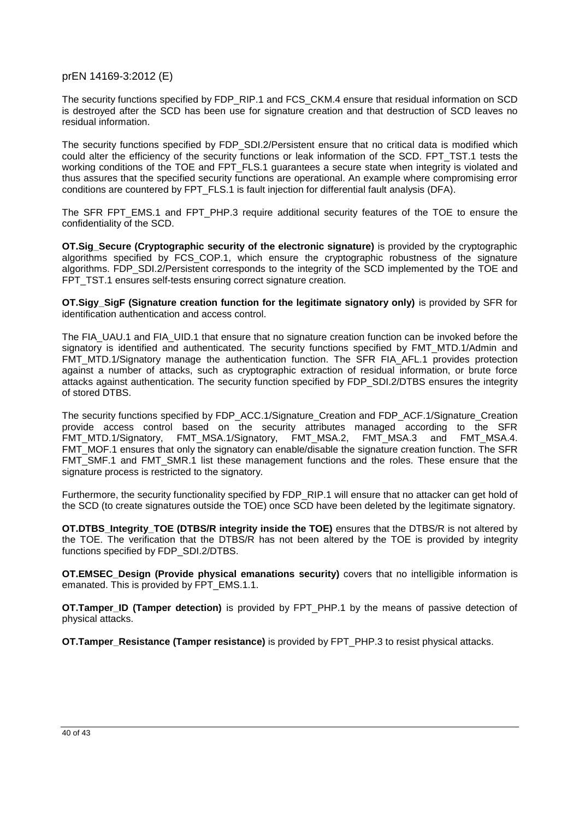The security functions specified by FDP\_RIP.1 and FCS\_CKM.4 ensure that residual information on SCD is destroyed after the SCD has been use for signature creation and that destruction of SCD leaves no residual information.

The security functions specified by FDP\_SDI.2/Persistent ensure that no critical data is modified which could alter the efficiency of the security functions or leak information of the SCD. FPT TST.1 tests the working conditions of the TOE and FPT\_FLS.1 guarantees a secure state when integrity is violated and thus assures that the specified security functions are operational. An example where compromising error conditions are countered by FPT\_FLS.1 is fault injection for differential fault analysis (DFA).

The SFR FPT EMS.1 and FPT PHP.3 require additional security features of the TOE to ensure the confidentiality of the SCD.

**OT.Sig\_Secure (Cryptographic security of the electronic signature)** is provided by the cryptographic algorithms specified by FCS\_COP.1, which ensure the cryptographic robustness of the signature algorithms. FDP\_SDI.2/Persistent corresponds to the integrity of the SCD implemented by the TOE and FPT\_TST.1 ensures self-tests ensuring correct signature creation.

**OT.Sigy\_SigF (Signature creation function for the legitimate signatory only)** is provided by SFR for identification authentication and access control.

The FIA\_UAU.1 and FIA\_UID.1 that ensure that no signature creation function can be invoked before the signatory is identified and authenticated. The security functions specified by FMT\_MTD.1/Admin and FMT MTD.1/Signatory manage the authentication function. The SFR FIA\_AFL.1 provides protection against a number of attacks, such as cryptographic extraction of residual information, or brute force attacks against authentication. The security function specified by FDP\_SDI.2/DTBS ensures the integrity of stored DTBS.

The security functions specified by FDP\_ACC.1/Signature\_Creation and FDP\_ACF.1/Signature\_Creation provide access control based on the security attributes managed according to the SFR<br>FMT\_MTD.1/Signatory, FMT\_MSA.1/Signatory, FMT\_MSA.2, FMT\_MSA.3 and FMT\_MSA.4. FMT\_MTD.1/Signatory, FMT\_MSA.1/Signatory, FMT\_MSA.2, FMT\_MSA.3 and FMT\_MSA.4. FMT\_MOF.1 ensures that only the signatory can enable/disable the signature creation function. The SFR FMT\_SMF.1 and FMT\_SMR.1 list these management functions and the roles. These ensure that the signature process is restricted to the signatory.

Furthermore, the security functionality specified by FDP\_RIP.1 will ensure that no attacker can get hold of the SCD (to create signatures outside the TOE) once SCD have been deleted by the legitimate signatory.

**OT.DTBS\_Integrity\_TOE (DTBS/R integrity inside the TOE)** ensures that the DTBS/R is not altered by the TOE. The verification that the DTBS/R has not been altered by the TOE is provided by integrity functions specified by FDP\_SDI.2/DTBS.

**OT.EMSEC\_Design (Provide physical emanations security)** covers that no intelligible information is emanated. This is provided by FPT\_EMS.1.1.

**OT.Tamper ID (Tamper detection)** is provided by FPT PHP.1 by the means of passive detection of physical attacks.

**OT.Tamper\_Resistance (Tamper resistance)** is provided by FPT\_PHP.3 to resist physical attacks.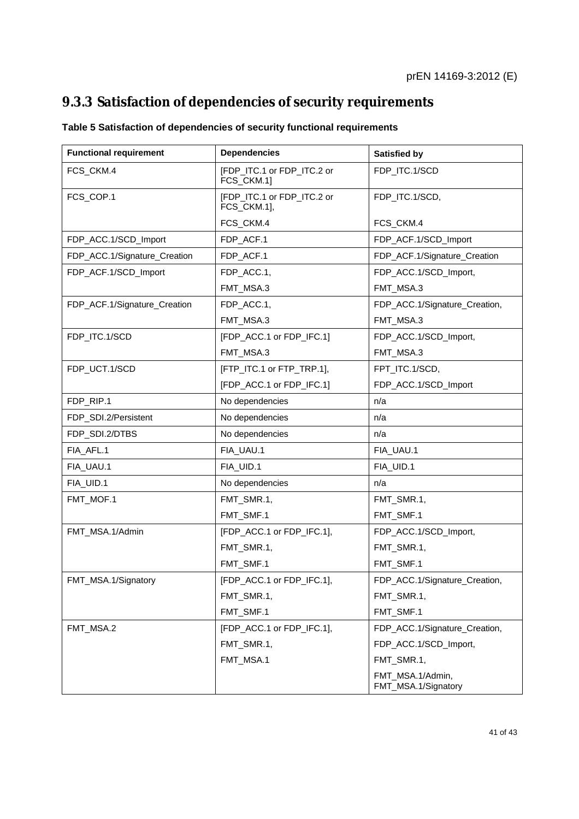### **9.3.3 Satisfaction of dependencies of security requirements**

| <b>Functional requirement</b> | <b>Dependencies</b>                       | <b>Satisfied by</b>                     |
|-------------------------------|-------------------------------------------|-----------------------------------------|
| FCS_CKM.4                     | [FDP_ITC.1 or FDP_ITC.2 or<br>FCS_CKM.1]  | FDP_ITC.1/SCD                           |
| FCS_COP.1                     | [FDP_ITC.1 or FDP_ITC.2 or<br>FCS_CKM.1], | FDP_ITC.1/SCD,                          |
|                               | FCS_CKM.4                                 | FCS_CKM.4                               |
| FDP_ACC.1/SCD_Import          | FDP_ACF.1                                 | FDP_ACF.1/SCD_Import                    |
| FDP_ACC.1/Signature_Creation  | FDP_ACF.1                                 | FDP_ACF.1/Signature_Creation            |
| FDP_ACF.1/SCD_Import          | FDP_ACC.1,                                | FDP_ACC.1/SCD_Import,                   |
|                               | FMT_MSA.3                                 | FMT_MSA.3                               |
| FDP_ACF.1/Signature_Creation  | FDP_ACC.1,                                | FDP_ACC.1/Signature_Creation,           |
|                               | FMT_MSA.3                                 | FMT_MSA.3                               |
| FDP_ITC.1/SCD                 | [FDP_ACC.1 or FDP_IFC.1]                  | FDP_ACC.1/SCD_Import,                   |
|                               | FMT_MSA.3                                 | FMT_MSA.3                               |
| FDP_UCT.1/SCD                 | [FTP_ITC.1 or FTP_TRP.1],                 | FPT_ITC.1/SCD,                          |
|                               | [FDP_ACC.1 or FDP_IFC.1]                  | FDP_ACC.1/SCD_Import                    |
| FDP_RIP.1                     | No dependencies                           | n/a                                     |
| FDP_SDI.2/Persistent          | No dependencies                           | n/a                                     |
| FDP_SDI.2/DTBS                | No dependencies                           | n/a                                     |
| FIA_AFL.1                     | FIA_UAU.1                                 | FIA_UAU.1                               |
| FIA_UAU.1                     | FIA_UID.1                                 | FIA_UID.1                               |
| FIA_UID.1                     | No dependencies                           | n/a                                     |
| FMT_MOF.1                     | FMT_SMR.1,                                | FMT_SMR.1,                              |
|                               | FMT_SMF.1                                 | FMT_SMF.1                               |
| FMT_MSA.1/Admin               | [FDP_ACC.1 or FDP_IFC.1],                 | FDP_ACC.1/SCD_Import,                   |
|                               | FMT_SMR.1,                                | FMT_SMR.1,                              |
|                               | FMT_SMF.1                                 | FMT_SMF.1                               |
| FMT_MSA.1/Signatory           | [FDP_ACC.1 or FDP_IFC.1],                 | FDP_ACC.1/Signature_Creation,           |
|                               | FMT_SMR.1,                                | FMT_SMR.1,                              |
|                               | FMT_SMF.1                                 | FMT_SMF.1                               |
| FMT_MSA.2                     | [FDP_ACC.1 or FDP_IFC.1],                 | FDP_ACC.1/Signature_Creation,           |
|                               | FMT_SMR.1,                                | FDP_ACC.1/SCD_Import,                   |
|                               | FMT_MSA.1                                 | FMT_SMR.1,                              |
|                               |                                           | FMT_MSA.1/Admin,<br>FMT_MSA.1/Signatory |

### **Table 5 Satisfaction of dependencies of security functional requirements**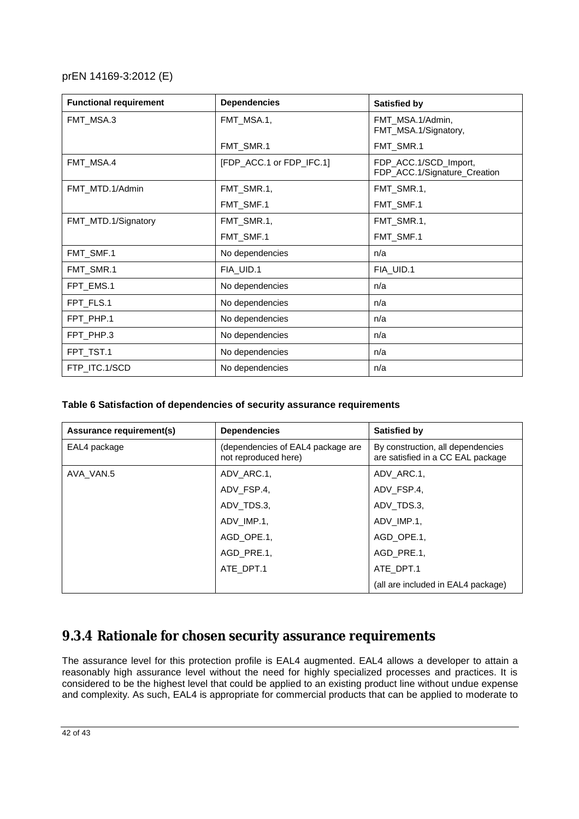| <b>Functional requirement</b> | <b>Dependencies</b>      | <b>Satisfied by</b>                                   |
|-------------------------------|--------------------------|-------------------------------------------------------|
| FMT MSA.3                     | FMT MSA.1,               | FMT MSA.1/Admin,<br>FMT_MSA.1/Signatory,              |
|                               | FMT_SMR.1                | FMT_SMR.1                                             |
| FMT_MSA.4                     | [FDP_ACC.1 or FDP_IFC.1] | FDP_ACC.1/SCD_Import,<br>FDP_ACC.1/Signature_Creation |
| FMT_MTD.1/Admin               | FMT_SMR.1,               | FMT SMR.1.                                            |
|                               | FMT_SMF.1                | FMT_SMF.1                                             |
| FMT_MTD.1/Signatory           | FMT_SMR.1,               | FMT_SMR.1,                                            |
|                               | FMT_SMF.1                | FMT_SMF.1                                             |
| FMT_SMF.1                     | No dependencies          | n/a                                                   |
| FMT_SMR.1                     | FIA_UID.1                | FIA_UID.1                                             |
| FPT_EMS.1                     | No dependencies          | n/a                                                   |
| FPT_FLS.1                     | No dependencies          | n/a                                                   |
| FPT PHP.1                     | No dependencies          | n/a                                                   |
| FPT_PHP.3                     | No dependencies          | n/a                                                   |
| FPT_TST.1                     | No dependencies          | n/a                                                   |
| FTP ITC.1/SCD                 | No dependencies          | n/a                                                   |

#### **Table 6 Satisfaction of dependencies of security assurance requirements**

| Assurance requirement(s) | <b>Dependencies</b>                                       | Satisfied by                                                           |  |  |
|--------------------------|-----------------------------------------------------------|------------------------------------------------------------------------|--|--|
| EAL4 package             | (dependencies of EAL4 package are<br>not reproduced here) | By construction, all dependencies<br>are satisfied in a CC EAL package |  |  |
| AVA VAN.5                | ADV ARC.1.                                                | ADV ARC.1.                                                             |  |  |
|                          | ADV FSP.4.                                                | ADV FSP.4.                                                             |  |  |
|                          | ADV TDS.3.                                                | ADV TDS.3.                                                             |  |  |
|                          | ADV IMP.1.                                                | ADV IMP.1.                                                             |  |  |
|                          | AGD OPE.1.                                                | AGD OPE.1.                                                             |  |  |
|                          | AGD PRE.1.                                                | AGD PRE.1.                                                             |  |  |
|                          | ATE DPT.1                                                 | ATE DPT.1                                                              |  |  |
|                          |                                                           | (all are included in EAL4 package)                                     |  |  |

### **9.3.4 Rationale for chosen security assurance requirements**

The assurance level for this protection profile is EAL4 augmented. EAL4 allows a developer to attain a reasonably high assurance level without the need for highly specialized processes and practices. It is considered to be the highest level that could be applied to an existing product line without undue expense and complexity. As such, EAL4 is appropriate for commercial products that can be applied to moderate to